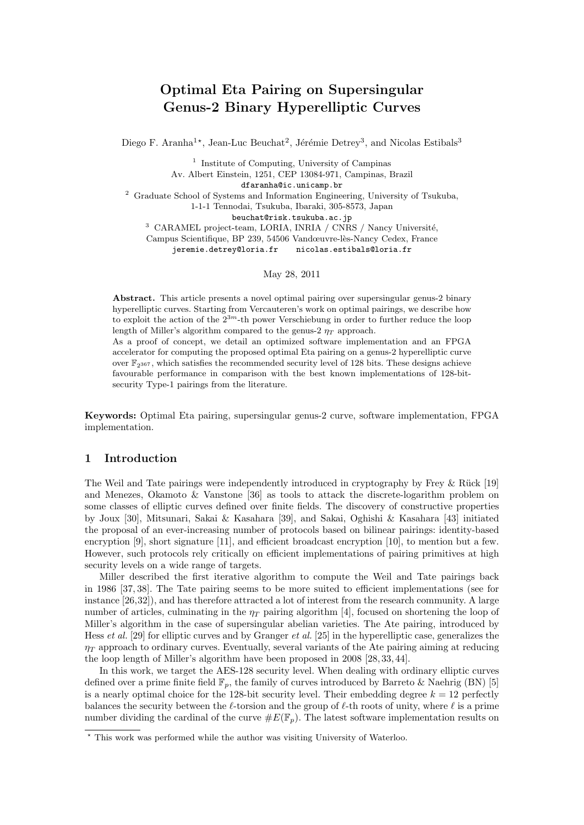# Optimal Eta Pairing on Supersingular Genus-2 Binary Hyperelliptic Curves

Diego F. Aranha<sup>1\*</sup>, Jean-Luc Beuchat<sup>2</sup>, Jérémie Detrey<sup>3</sup>, and Nicolas Estibals<sup>3</sup>

<sup>1</sup> Institute of Computing, University of Campinas Av. Albert Einstein, 1251, CEP 13084-971, Campinas, Brazil

dfaranha@ic.unicamp.br

<sup>2</sup> Graduate School of Systems and Information Engineering, University of Tsukuba,

1-1-1 Tennodai, Tsukuba, Ibaraki, 305-8573, Japan

beuchat@risk.tsukuba.ac.jp

 $3$  CARAMEL project-team, LORIA, INRIA / CNRS / Nancy Université,

Campus Scientifique, BP 239, 54506 Vandœuvre-lès-Nancy Cedex, France jeremie.detrey@loria.fr nicolas.estibals@loria.fr

May 28, 2011

Abstract. This article presents a novel optimal pairing over supersingular genus-2 binary hyperelliptic curves. Starting from Vercauteren's work on optimal pairings, we describe how to exploit the action of the  $2^{3m}$ -th power Verschiebung in order to further reduce the loop length of Miller's algorithm compared to the genus-2  $\eta_T$  approach.

As a proof of concept, we detail an optimized software implementation and an FPGA accelerator for computing the proposed optimal Eta pairing on a genus-2 hyperelliptic curve over  $\mathbb{F}_{2367}$ , which satisfies the recommended security level of 128 bits. These designs achieve favourable performance in comparison with the best known implementations of 128-bitsecurity Type-1 pairings from the literature.

Keywords: Optimal Eta pairing, supersingular genus-2 curve, software implementation, FPGA implementation.

# 1 Introduction

The Weil and Tate pairings were independently introduced in cryptography by Frey  $\&$  Rück [19] and Menezes, Okamoto & Vanstone [36] as tools to attack the discrete-logarithm problem on some classes of elliptic curves defined over finite fields. The discovery of constructive properties by Joux [30], Mitsunari, Sakai & Kasahara [39], and Sakai, Oghishi & Kasahara [43] initiated the proposal of an ever-increasing number of protocols based on bilinear pairings: identity-based encryption [9], short signature [11], and efficient broadcast encryption [10], to mention but a few. However, such protocols rely critically on efficient implementations of pairing primitives at high security levels on a wide range of targets.

Miller described the first iterative algorithm to compute the Weil and Tate pairings back in 1986 [37, 38]. The Tate pairing seems to be more suited to efficient implementations (see for instance [26,32]), and has therefore attracted a lot of interest from the research community. A large number of articles, culminating in the  $\eta_T$  pairing algorithm [4], focused on shortening the loop of Miller's algorithm in the case of supersingular abelian varieties. The Ate pairing, introduced by Hess et al. [29] for elliptic curves and by Granger et al. [25] in the hyperelliptic case, generalizes the  $\eta_T$  approach to ordinary curves. Eventually, several variants of the Ate pairing aiming at reducing the loop length of Miller's algorithm have been proposed in 2008 [28, 33, 44].

In this work, we target the AES-128 security level. When dealing with ordinary elliptic curves defined over a prime finite field  $\mathbb{F}_p$ , the family of curves introduced by Barreto & Naehrig (BN) [5] is a nearly optimal choice for the 128-bit security level. Their embedding degree  $k = 12$  perfectly balances the security between the  $\ell$ -torsion and the group of  $\ell$ -th roots of unity, where  $\ell$  is a prime number dividing the cardinal of the curve  $\#E(\mathbb{F}_p)$ . The latest software implementation results on

<sup>?</sup> This work was performed while the author was visiting University of Waterloo.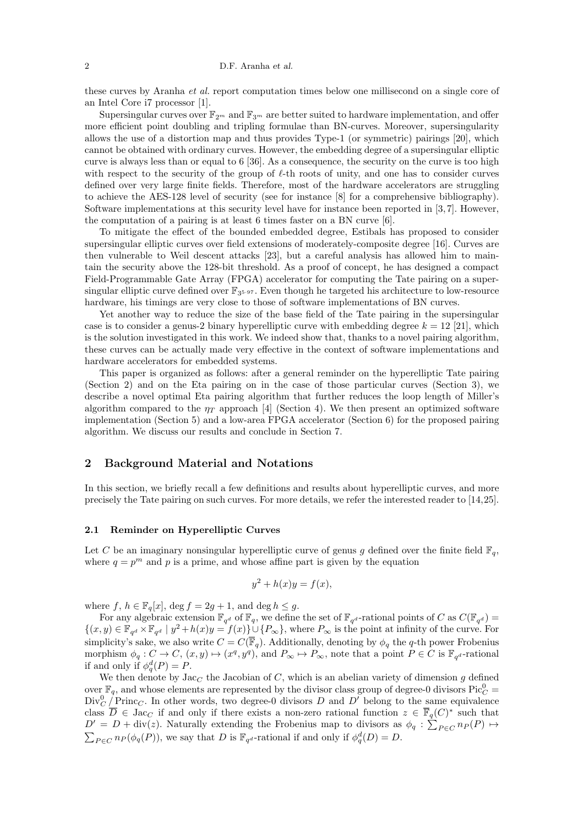these curves by Aranha et al. report computation times below one millisecond on a single core of an Intel Core i7 processor [1].

Supersingular curves over  $\mathbb{F}_{2m}$  and  $\mathbb{F}_{3m}$  are better suited to hardware implementation, and offer more efficient point doubling and tripling formulae than BN-curves. Moreover, supersingularity allows the use of a distortion map and thus provides Type-1 (or symmetric) pairings [20], which cannot be obtained with ordinary curves. However, the embedding degree of a supersingular elliptic curve is always less than or equal to 6 [36]. As a consequence, the security on the curve is too high with respect to the security of the group of  $\ell$ -th roots of unity, and one has to consider curves defined over very large finite fields. Therefore, most of the hardware accelerators are struggling to achieve the AES-128 level of security (see for instance [8] for a comprehensive bibliography). Software implementations at this security level have for instance been reported in  $[3, 7]$ . However, the computation of a pairing is at least 6 times faster on a BN curve [6].

To mitigate the effect of the bounded embedded degree, Estibals has proposed to consider supersingular elliptic curves over field extensions of moderately-composite degree [16]. Curves are then vulnerable to Weil descent attacks [23], but a careful analysis has allowed him to maintain the security above the 128-bit threshold. As a proof of concept, he has designed a compact Field-Programmable Gate Array (FPGA) accelerator for computing the Tate pairing on a supersingular elliptic curve defined over  $\mathbb{F}_{3^{5\text{-}97}}$ . Even though he targeted his architecture to low-resource hardware, his timings are very close to those of software implementations of BN curves.

Yet another way to reduce the size of the base field of the Tate pairing in the supersingular case is to consider a genus-2 binary hyperelliptic curve with embedding degree  $k = 12$  [21], which is the solution investigated in this work. We indeed show that, thanks to a novel pairing algorithm, these curves can be actually made very effective in the context of software implementations and hardware accelerators for embedded systems.

This paper is organized as follows: after a general reminder on the hyperelliptic Tate pairing (Section 2) and on the Eta pairing on in the case of those particular curves (Section 3), we describe a novel optimal Eta pairing algorithm that further reduces the loop length of Miller's algorithm compared to the  $\eta_T$  approach [4] (Section 4). We then present an optimized software implementation (Section 5) and a low-area FPGA accelerator (Section 6) for the proposed pairing algorithm. We discuss our results and conclude in Section 7.

## 2 Background Material and Notations

In this section, we briefly recall a few definitions and results about hyperelliptic curves, and more precisely the Tate pairing on such curves. For more details, we refer the interested reader to [14,25].

#### 2.1 Reminder on Hyperelliptic Curves

Let C be an imaginary nonsingular hyperelliptic curve of genus g defined over the finite field  $\mathbb{F}_q$ , where  $q = p^m$  and p is a prime, and whose affine part is given by the equation

$$
y^2 + h(x)y = f(x),
$$

where f,  $h \in \mathbb{F}_q[x]$ , deg  $f = 2g + 1$ , and deg  $h \leq g$ .

For any algebraic extension  $\mathbb{F}_{q^d}$  of  $\mathbb{F}_q$ , we define the set of  $\mathbb{F}_{q^d}$ -rational points of C as  $C(\mathbb{F}_{q^d})$  $\{(x,y)\in \mathbb{F}_{q^d}\times\mathbb{F}_{q^d}\mid y^2+h(x)y=f(x)\}\cup\{P_{\infty}\}\,$ , where  $P_{\infty}$  is the point at infinity of the curve. For simplicity's sake, we also write  $C = C(\overline{\mathbb{F}}_q)$ . Additionally, denoting by  $\phi_q$  the q-th power Frobenius morphism  $\phi_q: C \to C$ ,  $(x, y) \mapsto (x^q, y^q)$ , and  $P_\infty \mapsto P_\infty$ , note that a point  $P \in C$  is  $\mathbb{F}_{q^d}$ -rational if and only if  $\phi_q^d(P) = P$ .

We then denote by  $\text{Jac}_C$  the Jacobian of C, which is an abelian variety of dimension g defined over  $\mathbb{F}_q$ , and whose elements are represented by the divisor class group of degree-0 divisors  $Pic_C^0 =$  $Div_C^0$   $\overline{P}$ rinc<sub>*C*</sub>. In other words, two degree-0 divisors D and D' belong to the same equivalence class  $\overline{D} \in \text{Jac}_C$  if and only if there exists a non-zero rational function  $z \in \overline{\mathbb{F}}_q(C)^*$  such that  $D' = D + \text{div}(z)$ . Naturally extending the Frobenius map to divisors as  $\phi_q : \sum_{P \in C} n_P(P) \mapsto$  $\sum_{P \in C} n_P(\phi_q(P))$ , we say that D is  $\mathbb{F}_{q^d}$ -rational if and only if  $\phi_q^d(D) = D$ .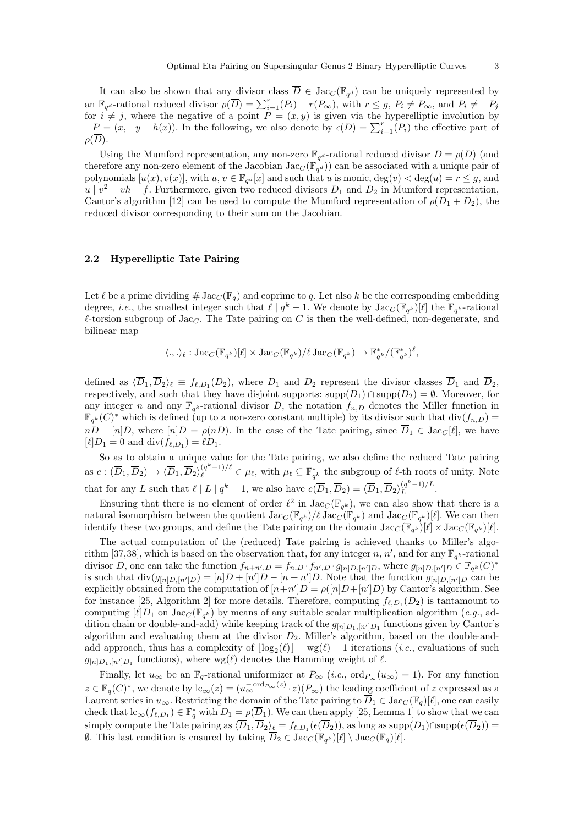It can also be shown that any divisor class  $\overline{D} \in \text{Jac}_{C}(\mathbb{F}_{q^d})$  can be uniquely represented by an  $\mathbb{F}_{q^d}$ -rational reduced divisor  $\rho(\overline{D}) = \sum_{i=1}^r (P_i) - r(P_{\infty})$ , with  $r \leq g$ ,  $P_i \neq P_{\infty}$ , and  $P_i \neq -P_j$ for  $i \neq j$ , where the negative of a point  $P = (x, y)$  is given via the hyperelliptic involution by  $-P = (x, -y - h(x))$ . In the following, we also denote by  $\epsilon(\overline{D}) = \sum_{i=1}^{r} (P_i)$  the effective part of  $\rho(D)$ .

Using the Mumford representation, any non-zero  $\mathbb{F}_{q^d}$ -rational reduced divisor  $D = \rho(\overline{D})$  (and therefore any non-zero element of the Jacobian Jac<sub>C</sub> ( $\mathbb{F}_{q^d}$ )) can be associated with a unique pair of polynomials  $[u(x), v(x)]$ , with  $u, v \in \mathbb{F}_{q^d}[x]$  and such that u is monic,  $deg(v) < deg(u) = r \leq g$ , and  $u \mid v^2 + vh - f$ . Furthermore, given two reduced divisors  $D_1$  and  $D_2$  in Mumford representation, Cantor's algorithm [12] can be used to compute the Mumford representation of  $\rho(D_1 + D_2)$ , the reduced divisor corresponding to their sum on the Jacobian.

#### 2.2 Hyperelliptic Tate Pairing

Let  $\ell$  be a prime dividing  $\#\operatorname{Jac}_C(\mathbb{F}_q)$  and coprime to q. Let also k be the corresponding embedding degree, *i.e.*, the smallest integer such that  $\ell \mid q^k - 1$ . We denote by  $\text{Jac}_C(\mathbb{F}_{q^k})[\ell]$  the  $\mathbb{F}_{q^k}$ -rational  $\ell$ -torsion subgroup of Jac<sub>C</sub>. The Tate pairing on C is then the well-defined, non-degenerate, and bilinear map

$$
\langle.,.\rangle_{\ell} : \mathrm{Jac}_{C}(\mathbb{F}_{q^k})[\ell] \times \mathrm{Jac}_{C}(\mathbb{F}_{q^k})/\ell \mathrm{Jac}_{C}(\mathbb{F}_{q^k}) \to \mathbb{F}_{q^k}^*/(\mathbb{F}_{q^k}^*)^{\ell},
$$

defined as  $\langle \overline{D}_1, \overline{D}_2 \rangle_\ell \equiv f_{\ell, D_1}(D_2)$ , where  $D_1$  and  $D_2$  represent the divisor classes  $\overline{D}_1$  and  $\overline{D}_2$ , respectively, and such that they have disjoint supports: supp $(D_1) \cap \text{supp}(D_2) = \emptyset$ . Moreover, for any integer n and any  $\mathbb{F}_{q^k}$ -rational divisor D, the notation  $f_{n,D}$  denotes the Miller function in  $\mathbb{F}_{q^k}(C)^*$  which is defined (up to a non-zero constant multiple) by its divisor such that  $\text{div}(f_{n,D}) =$  $nD - [n]D$ , where  $[n]D = \rho(nD)$ . In the case of the Tate pairing, since  $\overline{D}_1 \in \text{Jac}_C[\ell]$ , we have  $[\ell]D_1 = 0$  and  $\text{div}(f_{\ell,D_1}) = \ell D_1.$ 

So as to obtain a unique value for the Tate pairing, we also define the reduced Tate pairing as  $e: (\overline{D}_1, \overline{D}_2) \mapsto \langle \overline{D}_1, \overline{D}_2 \rangle_{\ell}^{(q^k-1)/\ell} \in \mu_{\ell}$ , with  $\mu_{\ell} \subseteq \mathbb{F}_{q^k}^*$  the subgroup of  $\ell$ -th roots of unity. Note that for any L such that  $\ell | L | q^k - 1$ , we also have  $e(\overline{D}_1, \overline{D}_2) = \langle \overline{D}_1, \overline{D}_2 \rangle_L^{(q^k-1)/L}$  $L^{(q-1)/L}$ .

Ensuring that there is no element of order  $\ell^2$  in  $\text{Jac}_C(\mathbb{F}_{q^k})$ , we can also show that there is a natural isomorphism between the quotient  $\text{Jac}_C(\mathbb{F}_{q^k})/\ell \text{Jac}_C(\mathbb{F}_{q^k})$  and  $\text{Jac}_C(\mathbb{F}_{q^k})[\ell]$ . We can then identify these two groups, and define the Tate pairing on the domain  $\text{Jac}_C(\mathbb{F}_{q^k})[\ell] \times \text{Jac}_C(\mathbb{F}_{q^k})[\ell].$ 

The actual computation of the (reduced) Tate pairing is achieved thanks to Miller's algorithm [37,38], which is based on the observation that, for any integer n, n', and for any  $\mathbb{F}_{q^k}$ -rational divisor D, one can take the function  $f_{n+n',D} = f_{n,D} \cdot f_{n',D} \cdot g_{[n]D,[n']D}$ , where  $g_{[n]D,[n']D} \in \mathbb{F}_{q^k}(C)^*$ is such that  $\text{div}(g_{[n]D,[n']D}) = [n]D + [n']D - [n+n']D$ . Note that the function  $g_{[n]D,[n']D}$  can be explicitly obtained from the computation of  $[n+n']D = \rho([n]D + [n']D)$  by Cantor's algorithm. See for instance [25, Algorithm 2] for more details. Therefore, computing  $f_{\ell,D_1}(D_2)$  is tantamount to computing  $[\ell]D_1$  on  $\text{Jac}_C(\mathbb{F}_{q^k})$  by means of any suitable scalar multiplication algorithm (e.g., addition chain or double-and-add) while keeping track of the  $g_{[n]D_1,[n']D_1}$  functions given by Cantor's algorithm and evaluating them at the divisor  $D_2$ . Miller's algorithm, based on the double-andadd approach, thus has a complexity of  $\lfloor \log_2(\ell) \rfloor + \text{wg}(\ell) - 1$  iterations (*i.e.*, evaluations of such  $g_{[n]D_1,[n']D_1}$  functions), where wg( $\ell$ ) denotes the Hamming weight of  $\ell$ .

Finally, let  $u_{\infty}$  be an  $\mathbb{F}_q$ -rational uniformizer at  $P_{\infty}$  (*i.e.*, ord $P_{\infty}(u_{\infty}) = 1$ ). For any function  $z \in \overline{\mathbb{F}}_q(C)^*$ , we denote by  $lc_{\infty}(z) = (u_{\infty}^{-\text{ord}_{P_{\infty}}(z)} \cdot z)(P_{\infty})$  the leading coefficient of z expressed as a Laurent series in  $u_{\infty}$ . Restricting the domain of the Tate pairing to  $\overline{D}_1 \in \text{Jac}_{C}(\mathbb{F}_q)[\ell]$ , one can easily check that  $lc_{\infty}(f_{\ell,D_1}) \in \mathbb{F}_q^*$  with  $D_1 = \rho(\overline{D}_1)$ . We can then apply [25, Lemma 1] to show that we can simply compute the Tate pairing as  $\langle \overline{D}_1, \overline{D}_2 \rangle_\ell = f_{\ell, D_1}(\epsilon(\overline{D}_2))$ , as long as  $\text{supp}(D_1) \cap \text{supp}(\epsilon(\overline{D}_2)) =$ 0. This last condition is ensured by taking  $\overline{D}_2 \in \text{Jac}_C(\mathbb{F}_{q^k})[\ell] \setminus \text{Jac}_C(\mathbb{F}_q)[\ell].$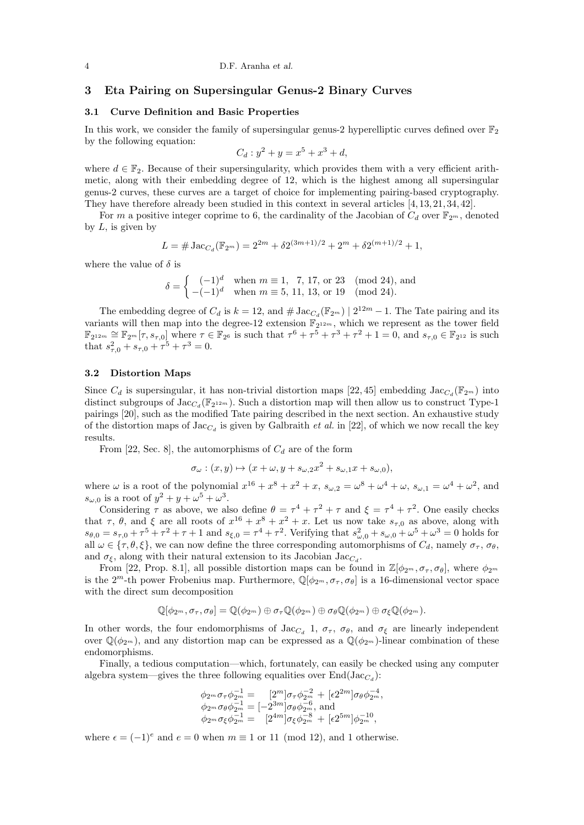# 3 Eta Pairing on Supersingular Genus-2 Binary Curves

#### 3.1 Curve Definition and Basic Properties

In this work, we consider the family of supersingular genus-2 hyperelliptic curves defined over  $\mathbb{F}_2$ by the following equation:

$$
C_d: y^2 + y = x^5 + x^3 + d,
$$

where  $d \in \mathbb{F}_2$ . Because of their supersingularity, which provides them with a very efficient arithmetic, along with their embedding degree of 12, which is the highest among all supersingular genus-2 curves, these curves are a target of choice for implementing pairing-based cryptography. They have therefore already been studied in this context in several articles [4, 13, 21, 34, 42].

For m a positive integer coprime to 6, the cardinality of the Jacobian of  $C_d$  over  $\mathbb{F}_{2^m}$ , denoted by  $L$ , is given by

$$
L = \# \operatorname{Jac}_{C_d}(\mathbb{F}_{2^m}) = 2^{2m} + \delta 2^{(3m+1)/2} + 2^m + \delta 2^{(m+1)/2} + 1,
$$

where the value of  $\delta$  is

$$
\delta = \begin{cases}\n(-1)^d & \text{when } m \equiv 1, 7, 17, \text{ or } 23 \pmod{24}, \text{ and} \\
-(-1)^d & \text{when } m \equiv 5, 11, 13, \text{ or } 19 \pmod{24}.\n\end{cases}
$$

The embedding degree of  $C_d$  is  $k = 12$ , and  $\# \operatorname{Jac}_{C_d}(\mathbb{F}_{2^m}) \mid 2^{12m} - 1$ . The Tate pairing and its variants will then map into the degree-12 extension  $\mathbb{F}_{2^{12m}}$ , which we represent as the tower field  $\mathbb{F}_{2^{12m}} \cong \mathbb{F}_{2^m}[\tau, s_{\tau,0}]$  where  $\tau \in \mathbb{F}_{2^6}$  is such that  $\tau^6 + \tau^5 + \tau^3 + \tau^2 + 1 = 0$ , and  $s_{\tau,0} \in \mathbb{F}_{2^{12}}$  is such that  $s_{\tau,0}^2 + s_{\tau,0} + \tau^5 + \tau^3 = 0.$ 

#### 3.2 Distortion Maps

Since  $C_d$  is supersingular, it has non-trivial distortion maps [22,45] embedding  $\text{Jac}_{C_d}(\mathbb{F}_{2^m})$  into distinct subgroups of  $\text{Jac}_{C_d}(\mathbb{F}_{2^{12m}})$ . Such a distortion map will then allow us to construct Type-1 pairings [20], such as the modified Tate pairing described in the next section. An exhaustive study of the distortion maps of  $\text{Jac}_{C_d}$  is given by Galbraith *et al.* in [22], of which we now recall the key results.

From [22, Sec. 8], the automorphisms of  $C_d$  are of the form

$$
\sigma_{\omega} : (x, y) \mapsto (x + \omega, y + s_{\omega,2}x^2 + s_{\omega,1}x + s_{\omega,0}),
$$

where  $\omega$  is a root of the polynomial  $x^{16} + x^8 + x^2 + x$ ,  $s_{\omega,2} = \omega^8 + \omega^4 + \omega$ ,  $s_{\omega,1} = \omega^4 + \omega^2$ , and  $s_{\omega,0}$  is a root of  $y^2 + y + \omega^5 + \omega^3$ .

Considering  $\tau$  as above, we also define  $\theta = \tau^4 + \tau^2 + \tau$  and  $\xi = \tau^4 + \tau^2$ . One easily checks that  $\tau$ ,  $\theta$ , and  $\xi$  are all roots of  $x^{16} + x^8 + x^2 + x$ . Let us now take  $s_{\tau,0}$  as above, along with  $s_{\theta,0} = s_{\tau,0} + \tau^5 + \tau^2 + \tau + 1$  and  $s_{\xi,0} = \tau^4 + \tau^2$ . Verifying that  $s_{\omega,0}^2 + s_{\omega,0} + \omega^5 + \omega^3 = 0$  holds for all  $\omega \in \{\tau, \theta, \xi\}$ , we can now define the three corresponding automorphisms of  $C_d$ , namely  $\sigma_{\tau}$ ,  $\sigma_{\theta}$ , and  $\sigma_{\xi}$ , along with their natural extension to its Jacobian Jac<sub>*C*a</sub>.

From [22, Prop. 8.1], all possible distortion maps can be found in  $\mathbb{Z}[\phi_{2^m}, \sigma_{\tau}, \sigma_{\theta}]$ , where  $\phi_{2^m}$ is the  $2^m$ -th power Frobenius map. Furthermore,  $\mathbb{Q}[\phi_{2^m}, \sigma_{\tau}, \sigma_{\theta}]$  is a 16-dimensional vector space with the direct sum decomposition

$$
\mathbb{Q}[\phi_{2^m}, \sigma_{\tau}, \sigma_{\theta}] = \mathbb{Q}(\phi_{2^m}) \oplus \sigma_{\tau} \mathbb{Q}(\phi_{2^m}) \oplus \sigma_{\theta} \mathbb{Q}(\phi_{2^m}) \oplus \sigma_{\xi} \mathbb{Q}(\phi_{2^m}).
$$

In other words, the four endomorphisms of Jac<sub>C<sub>d</sub></sub> 1,  $\sigma_{\tau}$ ,  $\sigma_{\theta}$ , and  $\sigma_{\xi}$  are linearly independent over  $\mathbb{Q}(\phi_{2^m})$ , and any distortion map can be expressed as a  $\mathbb{Q}(\phi_{2^m})$ -linear combination of these endomorphisms.

Finally, a tedious computation—which, fortunately, can easily be checked using any computer algebra system—gives the three following equalities over  $\text{End}(\text{Jac}_{C_d})$ :

$$
\phi_{2^m}\sigma_{\tau}\phi_{2^m}^{-1} = [2^m]\sigma_{\tau}\phi_{2^m}^{-2} + [\epsilon 2^{2m}]\sigma_{\theta}\phi_{2^m}^{-4}, \n\phi_{2^m}\sigma_{\theta}\phi_{2^m}^{-1} = [-2^{3m}]\sigma_{\theta}\phi_{2^m}^{-6}, \text{ and} \n\phi_{2^m}\sigma_{\xi}\phi_{2^m}^{-1} = [2^{4m}]\sigma_{\xi}\phi_{2^m}^{-8} + [\epsilon 2^{5m}]\phi_{2^m}^{-10},
$$

where  $\epsilon = (-1)^e$  and  $e = 0$  when  $m \equiv 1$  or 11 (mod 12), and 1 otherwise.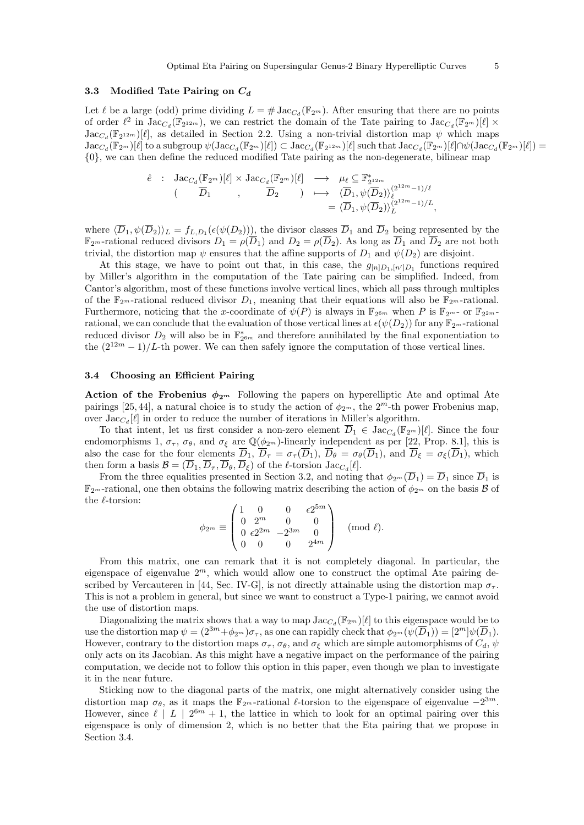# 3.3 Modified Tate Pairing on  $C_d$

Let  $\ell$  be a large (odd) prime dividing  $L = \# \operatorname{Jac}_{C_d}(\mathbb{F}_{2^m})$ . After ensuring that there are no points of order  $\ell^2$  in  $\text{Jac}_{C_d}(\mathbb{F}_{2^{12m}})$ , we can restrict the domain of the Tate pairing to  $\text{Jac}_{C_d}(\mathbb{F}_{2^m})[\ell] \times$  $\text{Jac}_{C_d}(\mathbb{F}_{2^{12m}})[\ell],$  as detailed in Section 2.2. Using a non-trivial distortion map  $\psi$  which maps  $\operatorname{Jac}_{C_d}(\mathbb{F}_{2^m})[\ell]$  to a subgroup  $\psi(\operatorname{Jac}_{C_d}(\mathbb{F}_{2^m})[\ell]) \subset \operatorname{Jac}_{C_d}(\mathbb{F}_{2^{12m}})[\ell]$  such that  $\operatorname{Jac}_{C_d}(\mathbb{F}_{2^m})[\ell] \cap \psi(\operatorname{Jac}_{C_d}(\mathbb{F}_{2^m})[\ell]) =$ {0}, we can then define the reduced modified Tate pairing as the non-degenerate, bilinear map

$$
\begin{array}{cccc}\n\hat{e} & \colon & \text{Jac}_{C_d}(\mathbb{F}_{2^m})[\ell] \times \text{Jac}_{C_d}(\mathbb{F}_{2^m})[\ell] & \longrightarrow & \mu_{\ell} \subseteq \mathbb{F}_{2^{12m}}^* \\
 & & (\overline{D}_1 & , & \overline{D}_2) & \longmapsto & \langle \overline{D}_1, \psi(\overline{D}_2) \rangle_{\ell}^{(2^{12m}-1)/\ell} \\
 & & & = \langle \overline{D}_1, \psi(\overline{D}_2) \rangle_L^{(2^{12m}-1)/L},\n\end{array}
$$

where  $\langle D_1, \psi(D_2) \rangle_L = f_{L,D_1}(\epsilon(\psi(D_2))),$  the divisor classes  $D_1$  and  $D_2$  being represented by the  $\mathbb{F}_{2^m}$ -rational reduced divisors  $D_1 = \rho(\overline{D}_1)$  and  $D_2 = \rho(\overline{D}_2)$ . As long as  $\overline{D}_1$  and  $\overline{D}_2$  are not both trivial, the distortion map  $\psi$  ensures that the affine supports of  $D_1$  and  $\psi(D_2)$  are disjoint.

At this stage, we have to point out that, in this case, the  $g_{[n]D_1,[n']D_1}$  functions required by Miller's algorithm in the computation of the Tate pairing can be simplified. Indeed, from Cantor's algorithm, most of these functions involve vertical lines, which all pass through multiples of the  $\mathbb{F}_{2^m}$ -rational reduced divisor  $D_1$ , meaning that their equations will also be  $\mathbb{F}_{2^m}$ -rational. Furthermore, noticing that the x-coordinate of  $\psi(P)$  is always in  $\mathbb{F}_{2^{6m}}$  when P is  $\mathbb{F}_{2^m}$ - or  $\mathbb{F}_{2^{2m}}$ rational, we can conclude that the evaluation of those vertical lines at  $\epsilon(\psi(D_2))$  for any  $\mathbb{F}_{2^m}$ -rational reduced divisor  $D_2$  will also be in  $\mathbb{F}_{2^{6m}}^*$  and therefore annihilated by the final exponentiation to the  $(2^{12m}-1)/L$ -th power. We can then safely ignore the computation of those vertical lines.

#### 3.4 Choosing an Efficient Pairing

Action of the Frobenius  $\phi_{2^m}$  Following the papers on hyperelliptic Ate and optimal Ate pairings [25, 44], a natural choice is to study the action of  $\phi_{2^m}$ , the  $2^m$ -th power Frobenius map, over  $\text{Jac}_{C_d}[\ell]$  in order to reduce the number of iterations in Miller's algorithm.

To that intent, let us first consider a non-zero element  $\overline{D}_1 \in \text{Jac}_{C_d}(\mathbb{F}_{2^m})[\ell].$  Since the four endomorphisms 1,  $\sigma_{\tau}$ ,  $\sigma_{\theta}$ , and  $\sigma_{\xi}$  are  $\mathbb{Q}(\phi_{2^m})$ -linearly independent as per [22, Prop. 8.1], this is also the case for the four elements  $\overline{D}_1$ ,  $\overline{D}_{\tau} = \sigma_{\tau}(\overline{D}_1)$ ,  $\overline{D}_{\theta} = \sigma_{\theta}(\overline{D}_1)$ , and  $\overline{D}_{\xi} = \sigma_{\xi}(\overline{D}_1)$ , which then form a basis  $\mathcal{B} = (D_1, D_\tau, D_\theta, D_\xi)$  of the  $\ell$ -torsion  $\text{Jac}_{C_d}[\ell]$ .

From the three equalities presented in Section 3.2, and noting that  $\phi_{2^m}(\overline{D}_1) = \overline{D}_1$  since  $\overline{D}_1$  is  $\mathbb{F}_{2^m}$ -rational, one then obtains the following matrix describing the action of  $\phi_{2^m}$  on the basis  $\mathcal{B}$  of the  $\ell$ -torsion:

$$
\phi_{2^m}\equiv \begin{pmatrix} 1 & 0 & 0 & \epsilon 2^{5m} \\ 0 & 2^m & 0 & 0 \\ 0 & \epsilon 2^{2m} & -2^{3m} & 0 \\ 0 & 0 & 0 & 2^{4m} \end{pmatrix} \pmod{\ell}.
$$

From this matrix, one can remark that it is not completely diagonal. In particular, the eigenspace of eigenvalue  $2^m$ , which would allow one to construct the optimal Ate pairing described by Vercauteren in [44, Sec. IV-G], is not directly attainable using the distortion map  $\sigma_{\tau}$ . This is not a problem in general, but since we want to construct a Type-1 pairing, we cannot avoid the use of distortion maps.

Diagonalizing the matrix shows that a way to map  $\text{Jac}_{C_d}(\mathbb{F}_{2^m})[\ell]$  to this eigenspace would be to use the distortion map  $\psi = (2^{3m} + \phi_{2m})\sigma_{\tau}$ , as one can rapidly check that  $\phi_{2m}(\psi(\overline{D}_1)) = [2^m]\psi(\overline{D}_1)$ . However, contrary to the distortion maps  $\sigma_{\tau}$ ,  $\sigma_{\theta}$ , and  $\sigma_{\xi}$  which are simple automorphisms of  $C_d$ ,  $\psi$ only acts on its Jacobian. As this might have a negative impact on the performance of the pairing computation, we decide not to follow this option in this paper, even though we plan to investigate it in the near future.

Sticking now to the diagonal parts of the matrix, one might alternatively consider using the distortion map  $\sigma_{\theta}$ , as it maps the  $\mathbb{F}_{2^m}$ -rational  $\ell$ -torsion to the eigenspace of eigenvalue  $-2^{3m}$ . However, since  $\ell \mid L \mid 2^{6m} + 1$ , the lattice in which to look for an optimal pairing over this eigenspace is only of dimension 2, which is no better that the Eta pairing that we propose in Section 3.4.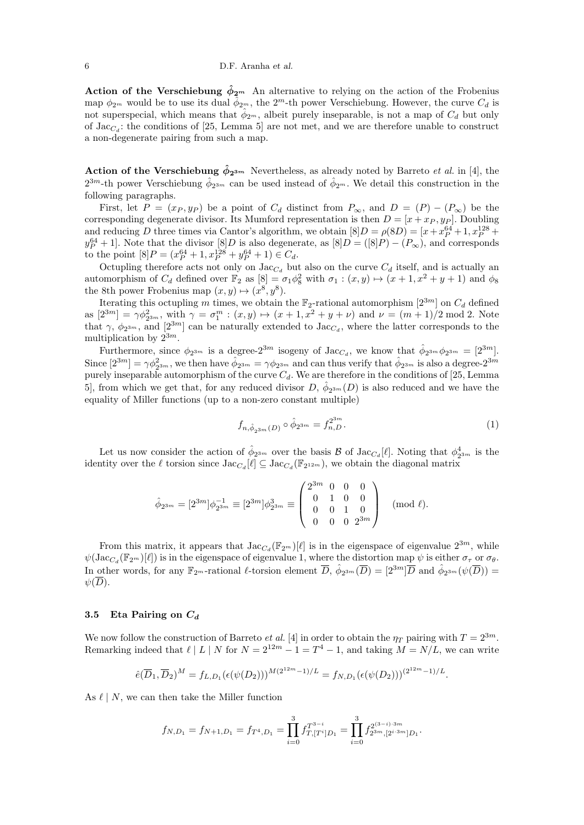6 D.F. Aranha et al.

Action of the Verschiebung  $\hat{\phi}_{2^m}$  An alternative to relying on the action of the Frobenius map  $\phi_{2^m}$  would be to use its dual  $\hat{\phi}_{2^m}$ , the  $2^m$ -th power Verschiebung. However, the curve  $C_d$  is not superspecial, which means that  $\hat{\phi}_{2^m}$ , albeit purely inseparable, is not a map of  $C_d$  but only of  $\text{Jac}_{C_d}$ : the conditions of [25, Lemma 5] are not met, and we are therefore unable to construct a non-degenerate pairing from such a map.

Action of the Verschiebung  $\hat{\phi}_{2^{3m}}$  Nevertheless, as already noted by Barreto *et al.* in [4], the  $2^{3m}$ -th power Verschiebung  $\hat{\phi}_{2^{3m}}$  can be used instead of  $\hat{\phi}_{2^m}$ . We detail this construction in the following paragraphs.

First, let  $P = (x_P, y_P)$  be a point of  $C_d$  distinct from  $P_{\infty}$ , and  $D = (P) - (P_{\infty})$  be the corresponding degenerate divisor. Its Mumford representation is then  $D = [x + x_P, y_P]$ . Doubling and reducing D three times via Cantor's algorithm, we obtain  $[8]D = \rho(8D) = [x + x<sub>P</sub><sup>64</sup> + 1, x<sub>P</sub><sup>128</sup> +$  $y_P^{64} + 1$ . Note that the divisor  $[8]D$  is also degenerate, as  $[8]D = ([8]P) - (P_\infty)$ , and corresponds to the point  $[8]P = (x_P^{64} + 1, x_P^{128} + y_P^{64} + 1) \in C_d$ .

Octupling therefore acts not only on  $\text{Jac}_{C_d}$  but also on the curve  $C_d$  itself, and is actually an automorphism of  $C_d$  defined over  $\mathbb{F}_2$  as  $[8] = \sigma_1 \phi_8^2$  with  $\sigma_1 : (x, y) \mapsto (x + 1, x^2 + y + 1)$  and  $\phi_8$ the 8th power Frobenius map  $(x, y) \mapsto (x^8, y^8)$ .

Iterating this octupling m times, we obtain the  $\mathbb{F}_2$ -rational automorphism  $[2^{3m}]$  on  $C_d$  defined as  $[2^{3m}] = \gamma \phi_{2^{3m}}^2$ , with  $\gamma = \sigma_1^m : (x, y) \mapsto (x + 1, x^2 + y + \nu)$  and  $\nu = (m + 1)/2 \text{ mod } 2$ . Note that  $\gamma$ ,  $\phi_{2^{3m}}$ , and  $[2^{3m}]$  can be naturally extended to Jac<sub>C<sub>d</sub></sub>, where the latter corresponds to the multiplication by  $2^{3m}$ .

Furthermore, since  $\phi_{2^{3m}}$  is a degree- $2^{3m}$  isogeny of  $\text{Jac}_{C_d}$ , we know that  $\hat{\phi}_{2^{3m}}\phi_{2^{3m}}=[2^{3m}].$ Since  $[2^{3m}] = \gamma \phi_{2^{3m}}^2$ , we then have  $\hat{\phi}_{2^{3m}} = \gamma \phi_{2^{3m}}$  and can thus verify that  $\hat{\phi}_{2^{3m}}$  is also a degree- $2^{3m}$ purely inseparable automorphism of the curve  $C_d$ . We are therefore in the conditions of [25, Lemma 5, from which we get that, for any reduced divisor  $D, \hat{\phi}_{2^{3m}}(D)$  is also reduced and we have the equality of Miller functions (up to a non-zero constant multiple)

$$
f_{n,\hat{\phi}_{23m}(D)} \circ \hat{\phi}_{2^{3m}} = f_{n,D}^{2^{3m}}.
$$
\n(1)

.

Let us now consider the action of  $\hat{\phi}_{2^{3m}}$  over the basis  $\mathcal B$  of Jac<sub>C<sub>d</sub>[ $\ell$ ]. Noting that  $\phi_{2^{3m}}^4$  is the</sub> identity over the  $\ell$  torsion since  $\text{Jac}_{C_d}[\ell] \subseteq \text{Jac}_{C_d}(\mathbb{F}_{2^{12m}})$ , we obtain the diagonal matrix

$$
\hat{\phi}_{2^{3m}} = [2^{3m}]\phi_{2^{3m}}^{-1} \equiv [2^{3m}]\phi_{2^{3m}}^{3} \equiv \begin{pmatrix} 2^{3m} & 0 & 0 & 0 \\ 0 & 1 & 0 & 0 \\ 0 & 0 & 1 & 0 \\ 0 & 0 & 0 & 2^{3m} \end{pmatrix} \pmod{\ell}.
$$

From this matrix, it appears that  $\text{Jac}_{C_d}(\mathbb{F}_{2^m})[\ell]$  is in the eigenspace of eigenvalue  $2^{3m}$ , while  $\psi(\operatorname{Jac}_{C_d}(\mathbb{F}_{2^m})[\ell])$  is in the eigenspace of eigenvalue 1, where the distortion map  $\psi$  is either  $\sigma_{\tau}$  or  $\sigma_{\theta}$ . In other words, for any  $\mathbb{F}_{2^m}$ -rational  $\ell$ -torsion element  $\overline{D}$ ,  $\hat{\phi}_{2^{3m}}(\overline{D}) = [2^{3m}] \overline{D}$  and  $\hat{\phi}_{2^{3m}}(\psi(\overline{D})) =$  $\psi(\overline{D})$ .

#### 3.5 Eta Pairing on  $C_d$

We now follow the construction of Barreto *et al.* [4] in order to obtain the  $\eta_T$  pairing with  $T = 2^{3m}$ . Remarking indeed that  $\ell | L | N$  for  $N = 2^{12m} - 1 = T^4 - 1$ , and taking  $M = N/L$ , we can write

$$
\hat{e}(\overline{D}_1, \overline{D}_2)^M = f_{L, D_1}(\epsilon(\psi(D_2)))^{M(2^{12m}-1)/L} = f_{N, D_1}(\epsilon(\psi(D_2)))^{(2^{12m}-1)/L}
$$

As  $\ell \mid N$ , we can then take the Miller function

$$
f_{N,D_1} = f_{N+1,D_1} = f_{T^4,D_1} = \prod_{i=0}^3 f_{T,[T^i]D_1}^{T^{3-i}} = \prod_{i=0}^3 f_{2^{3m},[2^{i \cdot 3m}]D_1}^{2^{(3-i) \cdot 3m}}.
$$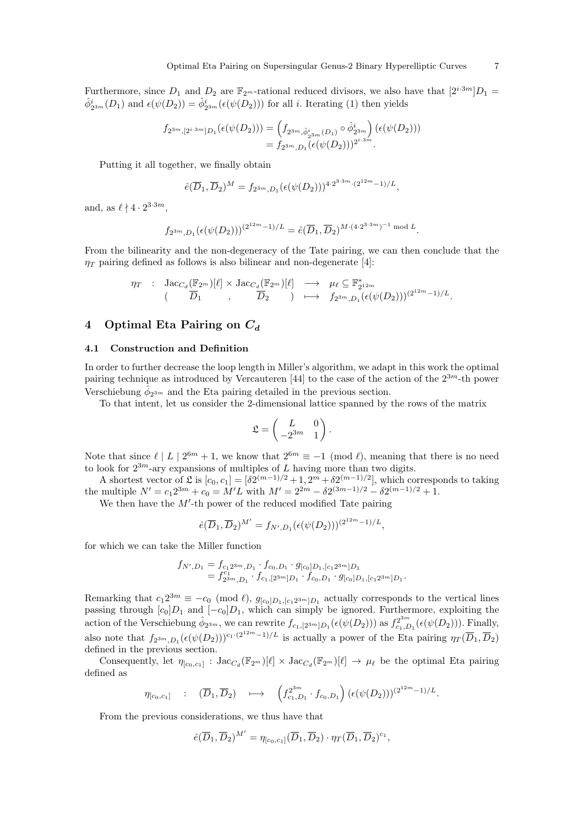Furthermore, since  $D_1$  and  $D_2$  are  $\mathbb{F}_{2^m}$ -rational reduced divisors, we also have that  $[2^{i\cdot 3m}D_1 =$  $\hat{\phi}_{2^{3m}}^i(D_1)$  and  $\epsilon(\psi(D_2)) = \hat{\phi}_{2^{3m}}^i(\epsilon(\psi(D_2)))$  for all *i*. Iterating (1) then yields

$$
f_{2^{3m},[2^{i\cdot 3m}]D_1}(\epsilon(\psi(D_2))) = (f_{2^{3m},\hat{\phi}_{2^{3m}}^i(D_1)} \circ \hat{\phi}_{2^{3m}}^i) (\epsilon(\psi(D_2)))
$$
  
=  $f_{2^{3m},D_1}(\epsilon(\psi(D_2)))^{2^{i\cdot 3m}}.$ 

Putting it all together, we finally obtain

$$
\hat{e}(\overline{D}_1, \overline{D}_2)^M = f_{2^{3m}, D_1}(\epsilon(\psi(D_2)))^{4 \cdot 2^{3 \cdot 3m} \cdot (2^{12m} - 1)/L},
$$

and, as  $\ell \nmid 4 \cdot 2^{3 \cdot 3m}$ ,

$$
f_{2^{3m},D_1}(\epsilon(\psi(D_2)))^{(2^{12m}-1)/L} = \hat{e}(\overline{D}_1,\overline{D}_2)^{M\cdot(4\cdot2^{3\cdot3m})^{-1} \bmod L}.
$$

From the bilinearity and the non-degeneracy of the Tate pairing, we can then conclude that the  $\eta_T$  pairing defined as follows is also bilinear and non-degenerate [4]:

$$
\begin{array}{cccc} \eta_T & : & {\rm Jac}_{C_d}(\mathbb{F}_{2^m})[\ell]\times {\rm Jac}_{C_d}(\mathbb{F}_{2^m})[\ell] & \longrightarrow & \mu_{\ell}\subseteq \mathbb{F}_{2^{12m}}^*\\ & & \quad(\hspace{20mm} \overline{D}_1 \hspace{20mm}, & \overline{D}_2 \hspace{20mm}) & \longmapsto & f_{2^{3m},D_1}(\epsilon(\psi(D_2)))^{(2^{12m}-1)/L}. \end{array}
$$

# 4 Optimal Eta Pairing on  $C_d$

#### 4.1 Construction and Definition

In order to further decrease the loop length in Miller's algorithm, we adapt in this work the optimal pairing technique as introduced by Vercauteren [44] to the case of the action of the  $2^{3m}$ -th power Verschiebung  $\hat{\phi}_{2^{3m}}$  and the Eta pairing detailed in the previous section.

To that intent, let us consider the 2-dimensional lattice spanned by the rows of the matrix

$$
\mathfrak{L} = \begin{pmatrix} L & 0 \\ -2^{3m} & 1 \end{pmatrix}.
$$

Note that since  $\ell \mid L \mid 2^{6m} + 1$ , we know that  $2^{6m} \equiv -1 \pmod{\ell}$ , meaning that there is no need to look for  $2^{3m}$ -ary expansions of multiples of L having more than two digits.

A shortest vector of  $\mathfrak{L}$  is  $[c_0, c_1] = [\delta 2^{(m-1)/2} + 1, 2^m + \delta 2^{(m-1)/2}]$ , which corresponds to taking the multiple  $N' = c_1 2^{3m} + c_0 = M'L$  with  $M' = 2^{2m} - \delta 2^{(3m-1)/2} - \delta 2^{(m-1)/2} + 1$ .

We then have the  $M'$ -th power of the reduced modified Tate pairing

$$
\hat{e}(\overline{D}_1, \overline{D}_2)^{M'} = f_{N', D_1}(\epsilon(\psi(D_2)))^{(2^{12m}-1)/L},
$$

for which we can take the Miller function

$$
f_{N',D_1} = f_{c_1 2^{3m}, D_1} \cdot f_{c_0, D_1} \cdot g_{[c_0]D_1,[c_1 2^{3m}]D_1}
$$
  
=  $f_{2^{3m},D_1}^{c_1} \cdot f_{c_1,[2^{3m}]D_1} \cdot f_{c_0, D_1} \cdot g_{[c_0]D_1,[c_1 2^{3m}]D_1}.$ 

Remarking that  $c_1 2^{3m} \equiv -c_0 \pmod{l}$ ,  $g_{[c_0]D_1,[c_1 2^{3m}]D_1}$  actually corresponds to the vertical lines passing through  $[c_0]D_1$  and  $[-c_0]D_1$ , which can simply be ignored. Furthermore, exploiting the action of the Verschiebung  $\hat{\phi}_{2^{3m}}$ , we can rewrite  $f_{c_1,[2^{3m}]D_1}(\epsilon(\psi(D_2)))$  as  $f_{c_1,D_1}^{2^{3m}}(\epsilon(\psi(D_2))).$  Finally, also note that  $f_{2^{3m},D_1}(\epsilon(\psi(D_2)))^{c_1 \cdot (2^{12m}-1)/L}$  is actually a power of the Eta pairing  $\eta_T(\overline{D}_1,\overline{D}_2)$ defined in the previous section.

Consequently, let  $\eta_{[c_0,c_1]} : \text{Jac}_{C_d}(\mathbb{F}_{2^m})[\ell] \times \text{Jac}_{C_d}(\mathbb{F}_{2^m})[\ell] \to \mu_\ell$  be the optimal Eta pairing defined as

$$
\eta_{[c_0,c_1]} \quad : \quad (\overline{D}_1,\overline{D}_2) \quad \longmapsto \quad \left(f_{c_1,D_1}^{2^{3m}} \cdot f_{c_0,D_1}\right) \left(\epsilon(\psi(D_2))\right)^{(2^{12m}-1)/L}.
$$

From the previous considerations, we thus have that

$$
\hat{e}(\overline{D}_1, \overline{D}_2)^{M'} = \eta_{[c_0, c_1]}(\overline{D}_1, \overline{D}_2) \cdot \eta_T(\overline{D}_1, \overline{D}_2)^{c_1},
$$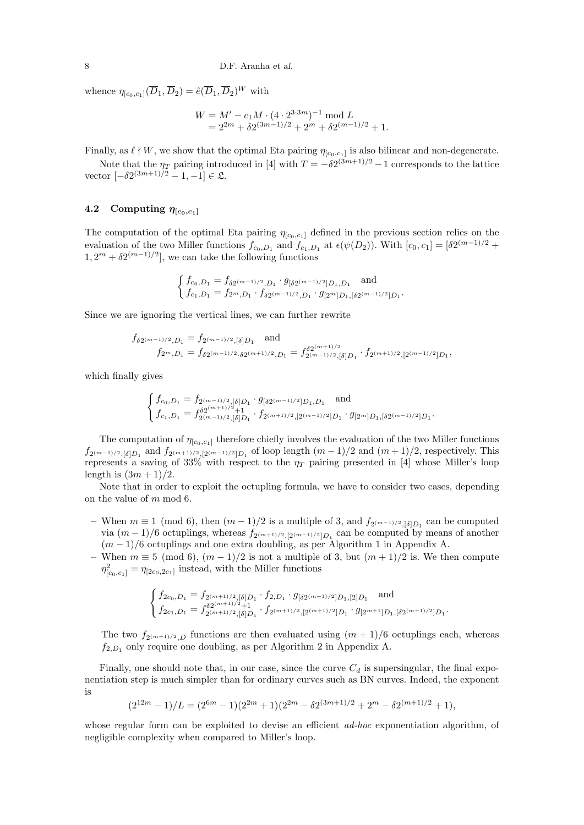whence  $\eta_{[c_0,c_1]}(\overline{D}_1,\overline{D}_2) = \hat{e}(\overline{D}_1,\overline{D}_2)^W$  with

$$
W = M' - c_1 M \cdot (4 \cdot 2^{3 \cdot 3m})^{-1} \mod L
$$
  
=  $2^{2m} + \delta 2^{(3m-1)/2} + 2^m + \delta 2^{(m-1)/2} + 1$ .

Finally, as  $\ell \nmid W$ , we show that the optimal Eta pairing  $\eta_{[c_0,c_1]}$  is also bilinear and non-degenerate.

Note that the  $\eta_T$  pairing introduced in [4] with  $T = -\delta 2^{(3m+1)/2} - 1$  corresponds to the lattice vector  $[-\delta 2^{(3m+1)/2} - 1, -1] \in \mathfrak{L}.$ 

# 4.2 Computing  $\eta_{[c_0,c_1]}$

The computation of the optimal Eta pairing  $\eta_{[c_0,c_1]}$  defined in the previous section relies on the evaluation of the two Miller functions  $f_{c_0,D_1}$  and  $f_{c_1,D_1}$  at  $\epsilon(\psi(D_2))$ . With  $[c_0, c_1] = [\delta 2^{(m-1)/2} +$  $1, 2^m + \delta 2^{(m-1)/2}$ , we can take the following functions

$$
\begin{cases} f_{c_0,D_1} = f_{\delta 2^{(m-1)/2},D_1} \cdot g_{\left[\delta 2^{(m-1)/2}\right]D_1,D_1} \text{ and} \\ f_{c_1,D_1} = f_{2^m,D_1} \cdot f_{\delta 2^{(m-1)/2},D_1} \cdot g_{\left[2^m\right]D_1,\left[\delta 2^{(m-1)/2}\right]D_1} .\end{cases}
$$

Since we are ignoring the vertical lines, we can further rewrite

$$
f_{\delta 2^{(m-1)/2},D_1} = f_{2^{(m-1)/2},\delta} \text{and}
$$
  
\n
$$
f_{2^m,D_1} = f_{\delta 2^{(m-1)/2},\delta 2^{(m+1)/2},D_1} = f_{2^{(m-1)/2},\delta}^{\delta 2^{(m+1)/2}} = f_{2^{(m-1)/2},\delta}^{\delta 2^{(m+1)/2}} = f_{2^{(m-1)/2},\delta} \text{ and}
$$

which finally gives

$$
\begin{cases} f_{c_0,D_1}=f_{2^{(m-1)/2},[\delta]D_1}\cdot g_{[\delta 2^{(m-1)/2}]D_1,D_1} \quad \text{and} \\ f_{c_1,D_1}=f_{2^{(m-1)/2},[\delta]D_1}\cdot f_{2^{(m+1)/2},[2^{(m-1)/2}]D_1}\cdot g_{[2^m]D_1,[\delta 2^{(m-1)/2}]D_1}. \end{cases}
$$

The computation of  $\eta_{[c_0,c_1]}$  therefore chiefly involves the evaluation of the two Miller functions  $f_{2^{(m-1)/2},\delta}$  and  $f_{2^{(m+1)/2},\{2^{(m-1)/2}\}D_1}$  of loop length  $(m-1)/2$  and  $(m+1)/2$ , respectively. This represents a saving of 33% with respect to the  $\eta_T$  pairing presented in [4] whose Miller's loop length is  $(3m + 1)/2$ .

Note that in order to exploit the octupling formula, we have to consider two cases, depending on the value of m mod 6.

- When  $m \equiv 1 \pmod{6}$ , then  $(m-1)/2$  is a multiple of 3, and  $f_{2(m-1)/2, [\delta]D_1}$  can be computed via  $(m-1)/6$  octuplings, whereas  $f_{2^{(m+1)/2},[2^{(m-1)/2}]D_1}$  can be computed by means of another  $(m-1)/6$  octuplings and one extra doubling, as per Algorithm 1 in Appendix A.
- When  $m \equiv 5 \pmod{6}$ ,  $(m-1)/2$  is not a multiple of 3, but  $(m+1)/2$  is. We then compute  $\eta_{[c_0,c_1]}^2 = \eta_{[2c_0,2c_1]}$  instead, with the Miller functions

$$
\begin{cases} f_{2c_0,D_1}=f_{2^{(m+1)/2},[\delta]D_1}\cdot f_{2,D_1}\cdot g_{[\delta 2^{(m+1)/2} ]D_1,[2]D_1} \quad \text{and} \\ f_{2c_1,D_1}=f_{2^{(m+1)/2},[\delta]D_1}\cdot f_{2^{(m+1)/2},[2^{(m+1)/2} ]D_1}\cdot g_{[2^{m+1}]D_1,[\delta 2^{(m+1)/2} ]D_1}. \end{cases}
$$

The two  $f_{2^{(m+1)/2},D}$  functions are then evaluated using  $(m+1)/6$  octuplings each, whereas  $f_{2,D_1}$  only require one doubling, as per Algorithm 2 in Appendix A.

Finally, one should note that, in our case, since the curve  $C_d$  is supersingular, the final exponentiation step is much simpler than for ordinary curves such as BN curves. Indeed, the exponent is

$$
(2^{12m} - 1)/L = (2^{6m} - 1)(2^{2m} + 1)(2^{2m} - \delta 2^{(3m+1)/2} + 2^m - \delta 2^{(m+1)/2} + 1),
$$

whose regular form can be exploited to devise an efficient *ad-hoc* exponentiation algorithm, of negligible complexity when compared to Miller's loop.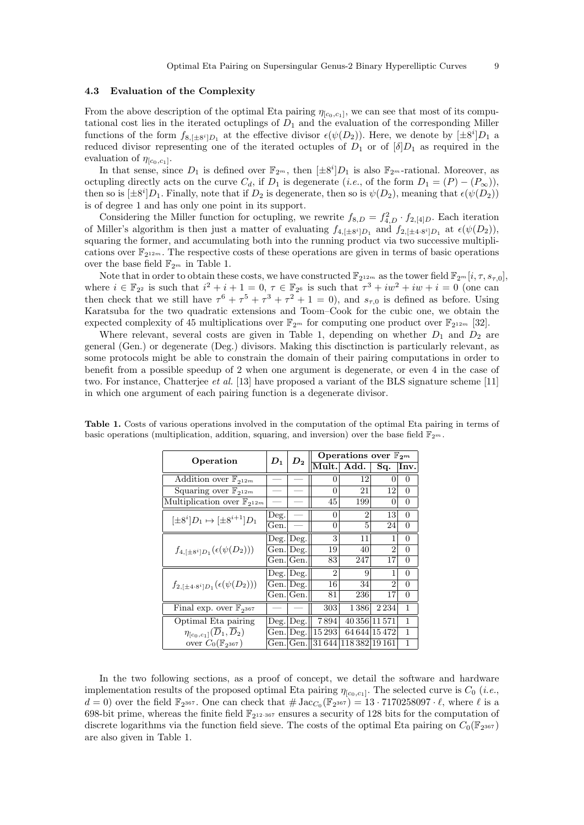## 4.3 Evaluation of the Complexity

From the above description of the optimal Eta pairing  $\eta_{[c_0,c_1]}$ , we can see that most of its computational cost lies in the iterated octuplings of  $D_1$  and the evaluation of the corresponding Miller functions of the form  $f_{8,[\pm 8^i]D_1}$  at the effective divisor  $\epsilon(\psi(D_2))$ . Here, we denote by  $[\pm 8^i]D_1$  a reduced divisor representing one of the iterated octuples of  $D_1$  or of  $\delta|D_1$  as required in the evaluation of  $\eta_{[c_0,c_1]}$ .

In that sense, since  $D_1$  is defined over  $\mathbb{F}_{2^m}$ , then  $[\pm 8^i]D_1$  is also  $\mathbb{F}_{2^m}$ -rational. Moreover, as octupling directly acts on the curve  $C_d$ , if  $D_1$  is degenerate (*i.e.*, of the form  $D_1 = (P) - (P_\infty)$ ), then so is  $[\pm 8^i]D_1$ . Finally, note that if  $D_2$  is degenerate, then so is  $\psi(D_2)$ , meaning that  $\epsilon(\psi(D_2))$ is of degree 1 and has only one point in its support.

Considering the Miller function for octupling, we rewrite  $f_{8,D} = f_{4,D}^2 \cdot f_{2,[4]D}$ . Each iteration of Miller's algorithm is then just a matter of evaluating  $f_{4,[\pm 8^i]D_1}$  and  $f_{2,[\pm 4\cdot 8^i]D_1}$  at  $\epsilon(\psi(D_2))$ , squaring the former, and accumulating both into the running product via two successive multiplications over  $\mathbb{F}_{2^{12m}}$ . The respective costs of these operations are given in terms of basic operations over the base field  $\mathbb{F}_{2^m}$  in Table 1.

Note that in order to obtain these costs, we have constructed  $\mathbb{F}_{2^{12m}}$  as the tower field  $\mathbb{F}_{2^m}[i, \tau, s_{\tau,0}],$ where  $i \in \mathbb{F}_{2^2}$  is such that  $i^2 + i + 1 = 0$ ,  $\tau \in \mathbb{F}_{2^6}$  is such that  $\tau^3 + iw^2 + iw + i = 0$  (one can then check that we still have  $\tau^6 + \tau^5 + \tau^3 + \tau^2 + 1 = 0$ , and  $s_{\tau,0}$  is defined as before. Using Karatsuba for the two quadratic extensions and Toom–Cook for the cubic one, we obtain the expected complexity of 45 multiplications over  $\mathbb{F}_{2^m}$  for computing one product over  $\mathbb{F}_{2^{12m}}$  [32].

Where relevant, several costs are given in Table 1, depending on whether  $D_1$  and  $D_2$  are general (Gen.) or degenerate (Deg.) divisors. Making this disctinction is particularly relevant, as some protocols might be able to constrain the domain of their pairing computations in order to benefit from a possible speedup of 2 when one argument is degenerate, or even 4 in the case of two. For instance, Chatterjee et al. [13] have proposed a variant of the BLS signature scheme [11] in which one argument of each pairing function is a degenerate divisor.

| Operation                                         | $D_1$ |                             | Operations over $\mathbb{F}_{2^m}$ |                       |                |                |  |  |
|---------------------------------------------------|-------|-----------------------------|------------------------------------|-----------------------|----------------|----------------|--|--|
|                                                   |       | $\bm{D_2}$                  | Mult.                              | Add.                  | Sq.            | Inv.           |  |  |
| Addition over $\mathbb{F}_{2^{12m}}$              |       |                             | 0                                  | 12                    | 0              | 0              |  |  |
| Squaring over $\mathbb{F}_{2^{12m}}$              |       |                             | 0                                  | 21                    | 12             | $\overline{0}$ |  |  |
| Multiplication over $\mathbb{F}_{2^{12m}}$        |       |                             | 45                                 | 199                   | $\theta$       | 0              |  |  |
| $[\pm 8^i]D_1 \mapsto [\pm 8^{i+1}]D_1$           | Deg.  |                             | $\theta$                           | $\overline{2}$        | 13             | $\theta$       |  |  |
|                                                   | Gen.  |                             | 0                                  | 5                     | 24             | 0              |  |  |
| $f_{4,[\pm 8^i]D_1}(\epsilon(\psi(D_2)))$         |       | $\text{Deg.}$ $\text{Deg.}$ | 3                                  | 11                    | 1              | $\theta$       |  |  |
|                                                   |       | Gen. Deg.                   | 19                                 | 40                    | $\mathcal{D}$  | $\theta$       |  |  |
|                                                   |       | Gen. Gen.                   | 83                                 | 247                   | 17             | 0              |  |  |
| $f_{2,[\pm 4.8^i]D_1}(\epsilon(\psi(D_2)))$       |       | $\text{Deg.}$ $\text{Deg.}$ | $\mathfrak{D}$                     | 9                     | 1              | $\theta$       |  |  |
|                                                   |       | Gen. Deg.                   | 16                                 | 34                    | $\mathfrak{D}$ | $\Omega$       |  |  |
|                                                   |       | Gen. Gen.                   | 81                                 | 236                   | 17             | $\Omega$       |  |  |
| Final exp. over $\mathbb{F}_{2^{367}}$            |       |                             | 303                                | 1386                  | 2234           | 1              |  |  |
| Optimal Eta pairing                               |       | $\text{Deg.}$ $\text{Deg.}$ | 7894                               |                       | 40 356 11 571  | 1              |  |  |
| $\eta_{[c_0,c_1]}(\overline{D}_1,\overline{D}_2)$ |       | Gen. Deg.                   | 15293                              |                       | 64 644 15 472  | 1              |  |  |
| over $C_0(\mathbb{F}_{2^{367}})$                  |       | Gen. Gen.                   |                                    | 31 644 118 382 19 161 |                | 1              |  |  |

Table 1. Costs of various operations involved in the computation of the optimal Eta pairing in terms of basic operations (multiplication, addition, squaring, and inversion) over the base field  $\mathbb{F}_{2^m}$ .

In the two following sections, as a proof of concept, we detail the software and hardware implementation results of the proposed optimal Eta pairing  $\eta_{[c_0,c_1]}$ . The selected curve is  $C_0$  (*i.e.*,  $d=0$ ) over the field  $\mathbb{F}_{2^{367}}$ . One can check that  $\#\operatorname{Jac}_{C_0}(\mathbb{F}_{2^{367}})=13\cdot 7170258097 \cdot \ell$ , where  $\ell$  is a 698-bit prime, whereas the finite field  $\mathbb{F}_{2^{12\cdot 367}}$  ensures a security of 128 bits for the computation of discrete logarithms via the function field sieve. The costs of the optimal Eta pairing on  $C_0(\mathbb{F}_{2^{367}})$ are also given in Table 1.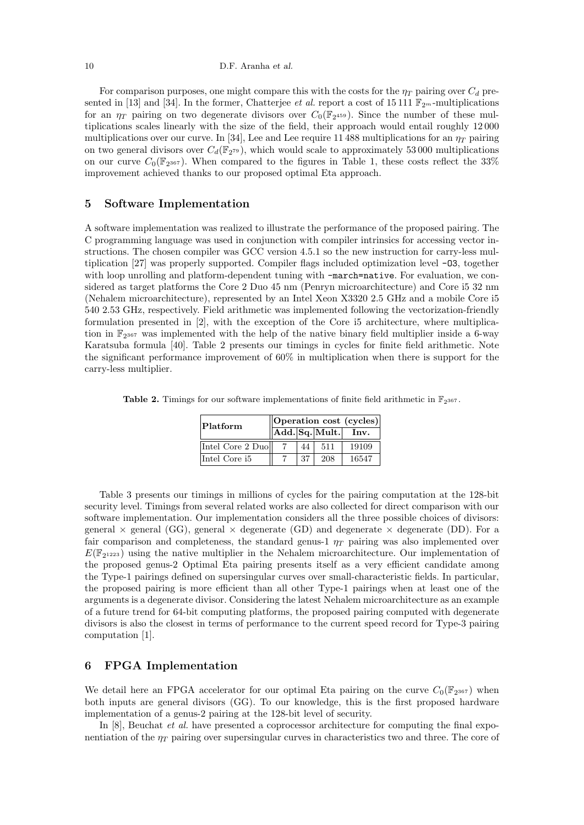For comparison purposes, one might compare this with the costs for the  $\eta_T$  pairing over  $C_d$  presented in [13] and [34]. In the former, Chatterjee *et al.* report a cost of 15 111  $\mathbb{F}_{2^m}$ -multiplications for an  $\eta_T$  pairing on two degenerate divisors over  $C_0(\mathbb{F}_{2^{459}})$ . Since the number of these multiplications scales linearly with the size of the field, their approach would entail roughly 12 000 multiplications over our curve. In [34], Lee and Lee require 11 488 multiplications for an  $\eta_T$  pairing on two general divisors over  $C_d(\mathbb{F}_{2^{79}})$ , which would scale to approximately 53000 multiplications on our curve  $C_0(\mathbb{F}_{2^{367}})$ . When compared to the figures in Table 1, these costs reflect the 33% improvement achieved thanks to our proposed optimal Eta approach.

# 5 Software Implementation

A software implementation was realized to illustrate the performance of the proposed pairing. The C programming language was used in conjunction with compiler intrinsics for accessing vector instructions. The chosen compiler was GCC version 4.5.1 so the new instruction for carry-less multiplication [27] was properly supported. Compiler flags included optimization level -O3, together with loop unrolling and platform-dependent tuning with  $-march=$ native. For evaluation, we considered as target platforms the Core 2 Duo 45 nm (Penryn microarchitecture) and Core i5 32 nm (Nehalem microarchitecture), represented by an Intel Xeon X3320 2.5 GHz and a mobile Core i5 540 2.53 GHz, respectively. Field arithmetic was implemented following the vectorization-friendly formulation presented in [2], with the exception of the Core i5 architecture, where multiplication in  $\mathbb{F}_{2^{367}}$  was implemented with the help of the native binary field multiplier inside a 6-way Karatsuba formula [40]. Table 2 presents our timings in cycles for finite field arithmetic. Note the significant performance improvement of 60% in multiplication when there is support for the carry-less multiplier.

**Table 2.** Timings for our software implementations of finite field arithmetic in  $\mathbb{F}_{2^{367}}$ .

| Platform         | Operation cost (cycles) |    |                                    |       |  |  |
|------------------|-------------------------|----|------------------------------------|-------|--|--|
|                  |                         |    | $\ $ Add. $\ $ Sq. $\ $ Mult. $\ $ | Inv.  |  |  |
| Intel Core 2 Duo |                         | 44 | 511                                | 19109 |  |  |
| Intel Core i5    |                         | 37 | 208                                | 16547 |  |  |

Table 3 presents our timings in millions of cycles for the pairing computation at the 128-bit security level. Timings from several related works are also collected for direct comparison with our software implementation. Our implementation considers all the three possible choices of divisors: general  $\times$  general (GG), general  $\times$  degenerate (GD) and degenerate  $\times$  degenerate (DD). For a fair comparison and completeness, the standard genus-1  $\eta_T$  pairing was also implemented over  $E(\mathbb{F}_{2^{1223}})$  using the native multiplier in the Nehalem microarchitecture. Our implementation of the proposed genus-2 Optimal Eta pairing presents itself as a very efficient candidate among the Type-1 pairings defined on supersingular curves over small-characteristic fields. In particular, the proposed pairing is more efficient than all other Type-1 pairings when at least one of the arguments is a degenerate divisor. Considering the latest Nehalem microarchitecture as an example of a future trend for 64-bit computing platforms, the proposed pairing computed with degenerate divisors is also the closest in terms of performance to the current speed record for Type-3 pairing computation [1].

# 6 FPGA Implementation

We detail here an FPGA accelerator for our optimal Eta pairing on the curve  $C_0(\mathbb{F}_{2^{367}})$  when both inputs are general divisors (GG). To our knowledge, this is the first proposed hardware implementation of a genus-2 pairing at the 128-bit level of security.

In  $[8]$ , Beuchat *et al.* have presented a coprocessor architecture for computing the final exponentiation of the  $\eta_T$  pairing over supersingular curves in characteristics two and three. The core of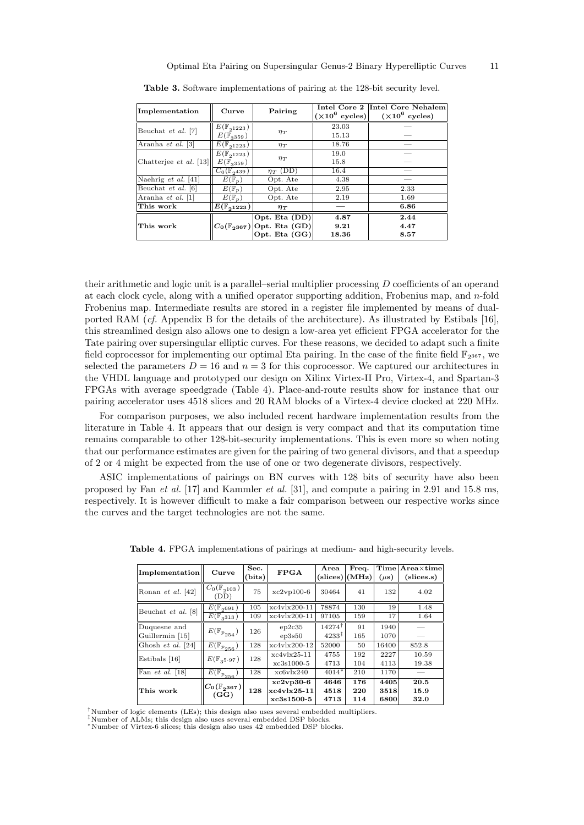| Implementation          | Curve                        | Pairing                                     |       | Intel Core 2 Intel Core Nehalem<br>$(\times 10^6 \text{ cycles})$ $(\times 10^6 \text{ cycles})$ |
|-------------------------|------------------------------|---------------------------------------------|-------|--------------------------------------------------------------------------------------------------|
| Beuchat et al. [7]      | $E(\mathbb{F}_{21223})$      |                                             | 23.03 |                                                                                                  |
|                         | $E(\mathbb{F}_{3359})$       | $\eta_T$                                    | 15.13 |                                                                                                  |
| Aranha et al. [3]       | $E(\mathbb{F}_{21223})$      | $\eta_T$                                    | 18.76 |                                                                                                  |
| Chatterjee et al. [13]  | $E(\mathbb{F}_{21223})$      |                                             | 19.0  |                                                                                                  |
|                         | $E(\mathbb{F}_{3359})$       | $\eta_T$                                    | 15.8  |                                                                                                  |
|                         | $C_0(\mathbb{F}_{2439})$     | $\eta_T$ (DD)                               | 16.4  |                                                                                                  |
| Naehrig $et \ al. [41]$ | $E(\mathbb{F}_p)$            | Opt. Ate                                    | 4.38  |                                                                                                  |
| Beuchat et al. [6]      | $\overline{E}(\mathbb{F}_p)$ | Opt. Ate                                    | 2.95  | 2.33                                                                                             |
| Aranha et al. [1]       | $E(\mathbb{F}_p)$            | Opt. Ate                                    | 2.19  | 1.69                                                                                             |
| This work               | $E(\mathbb{F}_{2^{1223}})$   | $\eta_T$                                    |       | 6.86                                                                                             |
|                         |                              | Opt. Eta (DD)                               | 4.87  | 2.44                                                                                             |
| This work               |                              | $ C_0(\mathbb{F}_{2^{367}}) $ Opt. Eta (GD) | 9.21  | 4.47                                                                                             |
|                         |                              | Opt. Eta (GG)                               | 18.36 | 8.57                                                                                             |

Table 3. Software implementations of pairing at the 128-bit security level.

their arithmetic and logic unit is a parallel–serial multiplier processing D coefficients of an operand at each clock cycle, along with a unified operator supporting addition, Frobenius map, and n-fold Frobenius map. Intermediate results are stored in a register file implemented by means of dualported RAM (cf. Appendix B for the details of the architecture). As illustrated by Estibals [16], this streamlined design also allows one to design a low-area yet efficient FPGA accelerator for the Tate pairing over supersingular elliptic curves. For these reasons, we decided to adapt such a finite field coprocessor for implementing our optimal Eta pairing. In the case of the finite field  $\mathbb{F}_{2^{367}}$ , we selected the parameters  $D = 16$  and  $n = 3$  for this coprocessor. We captured our architectures in the VHDL language and prototyped our design on Xilinx Virtex-II Pro, Virtex-4, and Spartan-3 FPGAs with average speedgrade (Table 4). Place-and-route results show for instance that our pairing accelerator uses 4518 slices and 20 RAM blocks of a Virtex-4 device clocked at 220 MHz.

For comparison purposes, we also included recent hardware implementation results from the literature in Table 4. It appears that our design is very compact and that its computation time remains comparable to other 128-bit-security implementations. This is even more so when noting that our performance estimates are given for the pairing of two general divisors, and that a speedup of 2 or 4 might be expected from the use of one or two degenerate divisors, respectively.

ASIC implementations of pairings on BN curves with 128 bits of security have also been proposed by Fan et al. [17] and Kammler et al. [31], and compute a pairing in 2.91 and 15.8 ms, respectively. It is however difficult to make a fair comparison between our respective works since the curves and the target technologies are not the same.

| <b>Implementation</b> | Curve                                                | Sec.<br>(bits) | <b>FPGA</b>    | Area                 | Freq.<br>$\text{(slices)}   (\text{MHz})$ | Time<br>$(\mu s)$ | $Area\times time$<br>slices.s) |
|-----------------------|------------------------------------------------------|----------------|----------------|----------------------|-------------------------------------------|-------------------|--------------------------------|
| Ronan et al. [42]     | $\overline{C_0}(\mathbb{F}_{2^{103}})$<br>(DD        | 75             | $xc2vp100-6$   | 30464                | 41                                        | 132               | 4.02                           |
| Beuchat et al. [8]    | $E(\mathbb{F}_{2691})$                               | 105            | $xc4v1x200-11$ | 78874                | 130                                       | 19                | 1.48                           |
|                       | $E(\mathbb{F}_{3313})$                               | 109            | $xc4v1x200-11$ | 97105                | 159                                       | 17                | 1.64                           |
| Duquesne and          | $E(\mathbb{F}_{p_{254}})$                            | 126            | ep2c35         | $14274^{\dagger}$    | 91                                        | 1940              |                                |
| Guillermin [15]       |                                                      |                | ep3s50         | $4233^{\frac{1}{7}}$ | 165                                       | 1070              |                                |
| Ghosh $et \ al. [24]$ | $\overline{E}(\mathbb{F}_{\frac{p_{256}}{p_{256}}})$ | 128            | xc4vlx200-12   | 52000                | 50                                        | 16400             | 852.8                          |
| Estibals [16]         | $E(\mathbb{F}_{35\cdot 97})$                         | 128            | $xc4v1x25-11$  | 4755                 | 192                                       | 2227              | 10.59                          |
|                       |                                                      |                | $xc3s1000-5$   | 4713                 | 104                                       | 4113              | 19.38                          |
| Fan $et$ al. [18]     | $\overline{E}(\mathbb{F}_{p_{256}})$                 | 128            | xc6v1x240      | $4014*$              | 210                                       | 1170              |                                |
| This work             | $C_0(\mathbb{F}_{2^{367}})$<br>(GG)                  | 128            | $xc2vp30-6$    | 4646                 | 176                                       | 4405              | 20.5                           |
|                       |                                                      |                | $xc4v1x25-11$  | 4518                 | 220                                       | 3518              | 15.9                           |
|                       |                                                      |                | $xc3s1500-5$   | 4713                 | 114                                       | 6800              | 32.0                           |

Table 4. FPGA implementations of pairings at medium- and high-security levels.

†Number of logic elements (LEs); this design also uses several embedded multipliers.

‡Number of ALMs; this design also uses several embedded DSP blocks.

<sup>∗</sup>Number of Virtex-6 slices; this design also uses 42 embedded DSP blocks.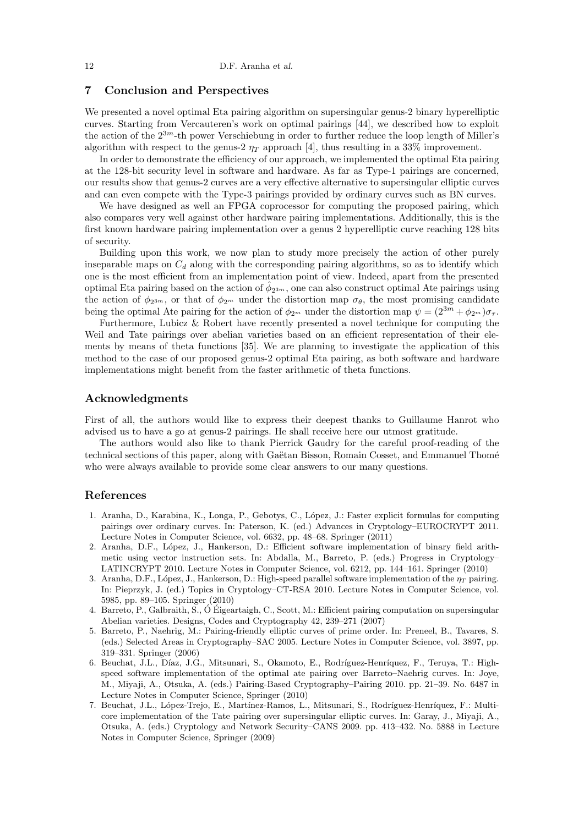## 7 Conclusion and Perspectives

We presented a novel optimal Eta pairing algorithm on supersingular genus-2 binary hyperelliptic curves. Starting from Vercauteren's work on optimal pairings [44], we described how to exploit the action of the  $2^{3m}$ -th power Verschiebung in order to further reduce the loop length of Miller's algorithm with respect to the genus-2  $\eta_T$  approach [4], thus resulting in a 33% improvement.

In order to demonstrate the efficiency of our approach, we implemented the optimal Eta pairing at the 128-bit security level in software and hardware. As far as Type-1 pairings are concerned, our results show that genus-2 curves are a very effective alternative to supersingular elliptic curves and can even compete with the Type-3 pairings provided by ordinary curves such as BN curves.

We have designed as well an FPGA coprocessor for computing the proposed pairing, which also compares very well against other hardware pairing implementations. Additionally, this is the first known hardware pairing implementation over a genus 2 hyperelliptic curve reaching 128 bits of security.

Building upon this work, we now plan to study more precisely the action of other purely inseparable maps on  $C_d$  along with the corresponding pairing algorithms, so as to identify which one is the most efficient from an implementation point of view. Indeed, apart from the presented optimal Eta pairing based on the action of  $\hat{\phi}_{2^{3m}}$ , one can also construct optimal Ate pairings using the action of  $\phi_{2^{3m}}$ , or that of  $\phi_{2^m}$  under the distortion map  $\sigma_{\theta}$ , the most promising candidate being the optimal Ate pairing for the action of  $\phi_{2^m}$  under the distortion map  $\psi = (2^{3m} + \phi_{2^m})\sigma_{\tau}$ .

Furthermore, Lubicz & Robert have recently presented a novel technique for computing the Weil and Tate pairings over abelian varieties based on an efficient representation of their elements by means of theta functions [35]. We are planning to investigate the application of this method to the case of our proposed genus-2 optimal Eta pairing, as both software and hardware implementations might benefit from the faster arithmetic of theta functions.

#### Acknowledgments

First of all, the authors would like to express their deepest thanks to Guillaume Hanrot who advised us to have a go at genus-2 pairings. He shall receive here our utmost gratitude.

The authors would also like to thank Pierrick Gaudry for the careful proof-reading of the technical sections of this paper, along with Gaëtan Bisson, Romain Cosset, and Emmanuel Thomé who were always available to provide some clear answers to our many questions.

# References

- 1. Aranha, D., Karabina, K., Longa, P., Gebotys, C., López, J.: Faster explicit formulas for computing pairings over ordinary curves. In: Paterson, K. (ed.) Advances in Cryptology–EUROCRYPT 2011. Lecture Notes in Computer Science, vol. 6632, pp. 48–68. Springer (2011)
- 2. Aranha, D.F., L´opez, J., Hankerson, D.: Efficient software implementation of binary field arithmetic using vector instruction sets. In: Abdalla, M., Barreto, P. (eds.) Progress in Cryptology– LATINCRYPT 2010. Lecture Notes in Computer Science, vol. 6212, pp. 144–161. Springer (2010)
- 3. Aranha, D.F., López, J., Hankerson, D.: High-speed parallel software implementation of the  $\eta_T$  pairing. In: Pieprzyk, J. (ed.) Topics in Cryptology–CT-RSA 2010. Lecture Notes in Computer Science, vol. 5985, pp. 89–105. Springer (2010)
- 4. Barreto, P., Galbraith, S., O´ Eigeartaigh, C., Scott, M.: Efficient pairing computation on supersingular ´ Abelian varieties. Designs, Codes and Cryptography 42, 239–271 (2007)
- 5. Barreto, P., Naehrig, M.: Pairing-friendly elliptic curves of prime order. In: Preneel, B., Tavares, S. (eds.) Selected Areas in Cryptography–SAC 2005. Lecture Notes in Computer Science, vol. 3897, pp. 319–331. Springer (2006)
- 6. Beuchat, J.L., Díaz, J.G., Mitsunari, S., Okamoto, E., Rodríguez-Henríquez, F., Teruya, T.: Highspeed software implementation of the optimal ate pairing over Barreto–Naehrig curves. In: Joye, M., Miyaji, A., Otsuka, A. (eds.) Pairing-Based Cryptography–Pairing 2010. pp. 21–39. No. 6487 in Lecture Notes in Computer Science, Springer (2010)
- 7. Beuchat, J.L., López-Trejo, E., Martínez-Ramos, L., Mitsunari, S., Rodríguez-Henríquez, F.: Multicore implementation of the Tate pairing over supersingular elliptic curves. In: Garay, J., Miyaji, A., Otsuka, A. (eds.) Cryptology and Network Security–CANS 2009. pp. 413–432. No. 5888 in Lecture Notes in Computer Science, Springer (2009)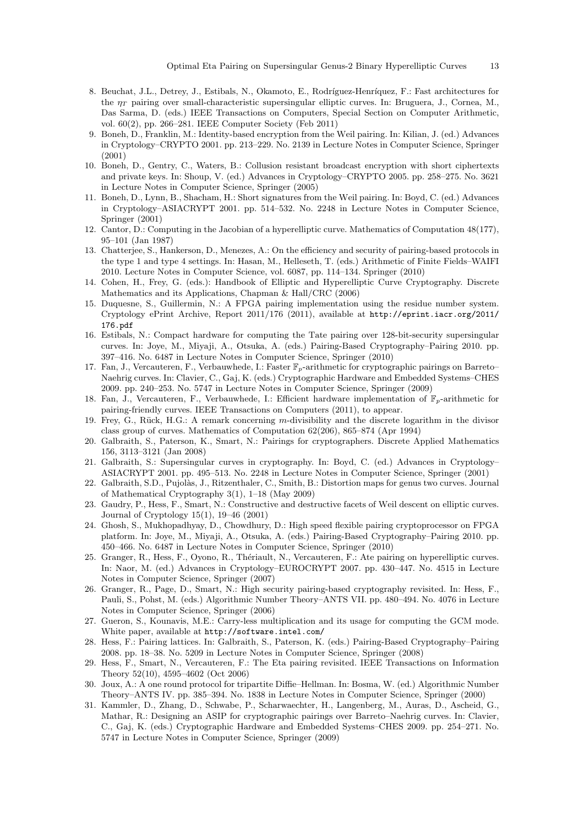- 8. Beuchat, J.L., Detrey, J., Estibals, N., Okamoto, E., Rodríguez-Henríquez, F.: Fast architectures for the  $\eta_T$  pairing over small-characteristic supersingular elliptic curves. In: Bruguera, J., Cornea, M., Das Sarma, D. (eds.) IEEE Transactions on Computers, Special Section on Computer Arithmetic, vol. 60(2), pp. 266–281. IEEE Computer Society (Feb 2011)
- 9. Boneh, D., Franklin, M.: Identity-based encryption from the Weil pairing. In: Kilian, J. (ed.) Advances in Cryptology–CRYPTO 2001. pp. 213–229. No. 2139 in Lecture Notes in Computer Science, Springer (2001)
- 10. Boneh, D., Gentry, C., Waters, B.: Collusion resistant broadcast encryption with short ciphertexts and private keys. In: Shoup, V. (ed.) Advances in Cryptology–CRYPTO 2005. pp. 258–275. No. 3621 in Lecture Notes in Computer Science, Springer (2005)
- 11. Boneh, D., Lynn, B., Shacham, H.: Short signatures from the Weil pairing. In: Boyd, C. (ed.) Advances in Cryptology–ASIACRYPT 2001. pp. 514–532. No. 2248 in Lecture Notes in Computer Science, Springer (2001)
- 12. Cantor, D.: Computing in the Jacobian of a hyperelliptic curve. Mathematics of Computation 48(177), 95–101 (Jan 1987)
- 13. Chatterjee, S., Hankerson, D., Menezes, A.: On the efficiency and security of pairing-based protocols in the type 1 and type 4 settings. In: Hasan, M., Helleseth, T. (eds.) Arithmetic of Finite Fields–WAIFI 2010. Lecture Notes in Computer Science, vol. 6087, pp. 114–134. Springer (2010)
- 14. Cohen, H., Frey, G. (eds.): Handbook of Elliptic and Hyperelliptic Curve Cryptography. Discrete Mathematics and its Applications, Chapman & Hall/CRC (2006)
- 15. Duquesne, S., Guillermin, N.: A FPGA pairing implementation using the residue number system. Cryptology ePrint Archive, Report 2011/176 (2011), available at http://eprint.iacr.org/2011/ 176.pdf
- 16. Estibals, N.: Compact hardware for computing the Tate pairing over 128-bit-security supersingular curves. In: Joye, M., Miyaji, A., Otsuka, A. (eds.) Pairing-Based Cryptography–Pairing 2010. pp. 397–416. No. 6487 in Lecture Notes in Computer Science, Springer (2010)
- 17. Fan, J., Vercauteren, F., Verbauwhede, I.: Faster  $\mathbb{F}_p$ -arithmetic for cryptographic pairings on Barreto– Naehrig curves. In: Clavier, C., Gaj, K. (eds.) Cryptographic Hardware and Embedded Systems–CHES 2009. pp. 240–253. No. 5747 in Lecture Notes in Computer Science, Springer (2009)
- 18. Fan, J., Vercauteren, F., Verbauwhede, I.: Efficient hardware implementation of  $\mathbb{F}_p$ -arithmetic for pairing-friendly curves. IEEE Transactions on Computers (2011), to appear.
- 19. Frey, G., Rück, H.G.: A remark concerning m-divisibility and the discrete logarithm in the divisor class group of curves. Mathematics of Computation 62(206), 865–874 (Apr 1994)
- 20. Galbraith, S., Paterson, K., Smart, N.: Pairings for cryptographers. Discrete Applied Mathematics 156, 3113–3121 (Jan 2008)
- 21. Galbraith, S.: Supersingular curves in cryptography. In: Boyd, C. (ed.) Advances in Cryptology– ASIACRYPT 2001. pp. 495–513. No. 2248 in Lecture Notes in Computer Science, Springer (2001)
- 22. Galbraith, S.D., Pujolàs, J., Ritzenthaler, C., Smith, B.: Distortion maps for genus two curves. Journal of Mathematical Cryptography 3(1), 1–18 (May 2009)
- 23. Gaudry, P., Hess, F., Smart, N.: Constructive and destructive facets of Weil descent on elliptic curves. Journal of Cryptology 15(1), 19–46 (2001)
- 24. Ghosh, S., Mukhopadhyay, D., Chowdhury, D.: High speed flexible pairing cryptoprocessor on FPGA platform. In: Joye, M., Miyaji, A., Otsuka, A. (eds.) Pairing-Based Cryptography–Pairing 2010. pp. 450–466. No. 6487 in Lecture Notes in Computer Science, Springer (2010)
- 25. Granger, R., Hess, F., Oyono, R., Thériault, N., Vercauteren, F.: Ate pairing on hyperelliptic curves. In: Naor, M. (ed.) Advances in Cryptology–EUROCRYPT 2007. pp. 430–447. No. 4515 in Lecture Notes in Computer Science, Springer (2007)
- 26. Granger, R., Page, D., Smart, N.: High security pairing-based cryptography revisited. In: Hess, F., Pauli, S., Pohst, M. (eds.) Algorithmic Number Theory–ANTS VII. pp. 480–494. No. 4076 in Lecture Notes in Computer Science, Springer (2006)
- 27. Gueron, S., Kounavis, M.E.: Carry-less multiplication and its usage for computing the GCM mode. White paper, available at http://software.intel.com/
- 28. Hess, F.: Pairing lattices. In: Galbraith, S., Paterson, K. (eds.) Pairing-Based Cryptography–Pairing 2008. pp. 18–38. No. 5209 in Lecture Notes in Computer Science, Springer (2008)
- 29. Hess, F., Smart, N., Vercauteren, F.: The Eta pairing revisited. IEEE Transactions on Information Theory 52(10), 4595–4602 (Oct 2006)
- 30. Joux, A.: A one round protocol for tripartite Diffie–Hellman. In: Bosma, W. (ed.) Algorithmic Number Theory–ANTS IV. pp. 385–394. No. 1838 in Lecture Notes in Computer Science, Springer (2000)
- 31. Kammler, D., Zhang, D., Schwabe, P., Scharwaechter, H., Langenberg, M., Auras, D., Ascheid, G., Mathar, R.: Designing an ASIP for cryptographic pairings over Barreto–Naehrig curves. In: Clavier, C., Gaj, K. (eds.) Cryptographic Hardware and Embedded Systems–CHES 2009. pp. 254–271. No. 5747 in Lecture Notes in Computer Science, Springer (2009)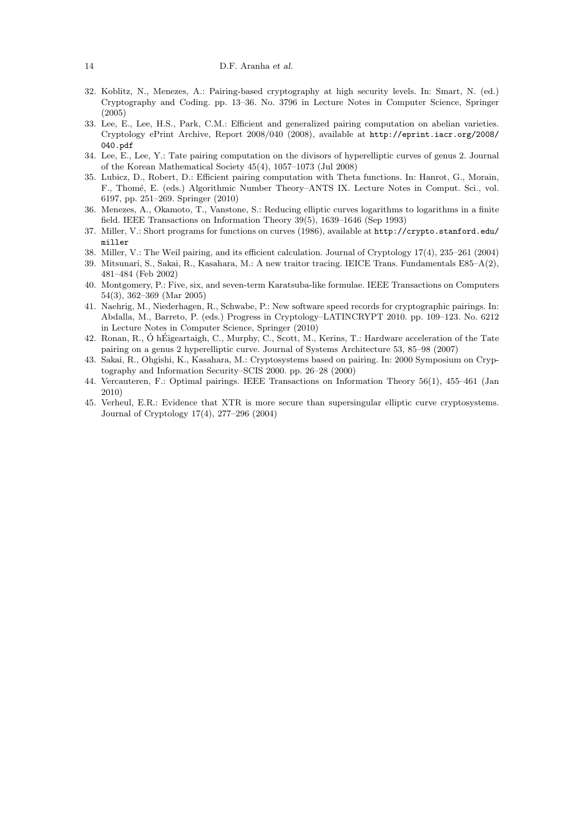- 32. Koblitz, N., Menezes, A.: Pairing-based cryptography at high security levels. In: Smart, N. (ed.) Cryptography and Coding. pp. 13–36. No. 3796 in Lecture Notes in Computer Science, Springer (2005)
- 33. Lee, E., Lee, H.S., Park, C.M.: Efficient and generalized pairing computation on abelian varieties. Cryptology ePrint Archive, Report 2008/040 (2008), available at http://eprint.iacr.org/2008/ 040.pdf
- 34. Lee, E., Lee, Y.: Tate pairing computation on the divisors of hyperelliptic curves of genus 2. Journal of the Korean Mathematical Society 45(4), 1057–1073 (Jul 2008)
- 35. Lubicz, D., Robert, D.: Efficient pairing computation with Theta functions. In: Hanrot, G., Morain, F., Thom´e, E. (eds.) Algorithmic Number Theory–ANTS IX. Lecture Notes in Comput. Sci., vol. 6197, pp. 251–269. Springer (2010)
- 36. Menezes, A., Okamoto, T., Vanstone, S.: Reducing elliptic curves logarithms to logarithms in a finite field. IEEE Transactions on Information Theory 39(5), 1639–1646 (Sep 1993)
- 37. Miller, V.: Short programs for functions on curves (1986), available at http://crypto.stanford.edu/ miller
- 38. Miller, V.: The Weil pairing, and its efficient calculation. Journal of Cryptology 17(4), 235–261 (2004)
- 39. Mitsunari, S., Sakai, R., Kasahara, M.: A new traitor tracing. IEICE Trans. Fundamentals E85–A(2), 481–484 (Feb 2002)
- 40. Montgomery, P.: Five, six, and seven-term Karatsuba-like formulae. IEEE Transactions on Computers 54(3), 362–369 (Mar 2005)
- 41. Naehrig, M., Niederhagen, R., Schwabe, P.: New software speed records for cryptographic pairings. In: Abdalla, M., Barreto, P. (eds.) Progress in Cryptology–LATINCRYPT 2010. pp. 109–123. No. 6212 in Lecture Notes in Computer Science, Springer (2010)
- 42. Ronan, R., Ó hÉigeartaigh, C., Murphy, C., Scott, M., Kerins, T.: Hardware acceleration of the Tate pairing on a genus 2 hyperelliptic curve. Journal of Systems Architecture 53, 85–98 (2007)
- 43. Sakai, R., Ohgishi, K., Kasahara, M.: Cryptosystems based on pairing. In: 2000 Symposium on Cryptography and Information Security–SCIS 2000. pp. 26–28 (2000)
- 44. Vercauteren, F.: Optimal pairings. IEEE Transactions on Information Theory 56(1), 455–461 (Jan 2010)
- 45. Verheul, E.R.: Evidence that XTR is more secure than supersingular elliptic curve cryptosystems. Journal of Cryptology 17(4), 277–296 (2004)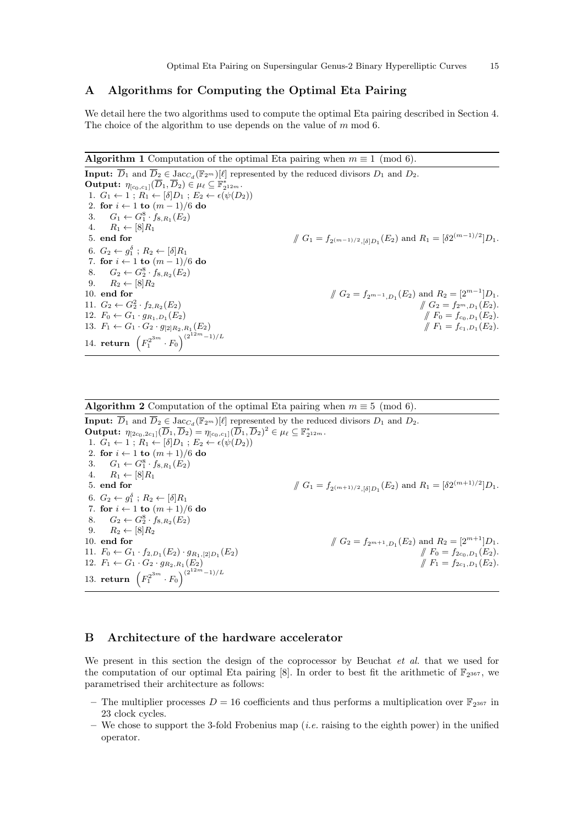# A Algorithms for Computing the Optimal Eta Pairing

We detail here the two algorithms used to compute the optimal Eta pairing described in Section 4. The choice of the algorithm to use depends on the value of m mod 6.

**Algorithm 1** Computation of the optimal Eta pairing when  $m \equiv 1 \pmod{6}$ .

**Input:**  $\overline{D}_1$  and  $\overline{D}_2 \in \text{Jac}_{C_d}(\mathbb{F}_{2^m})[\ell]$  represented by the reduced divisors  $D_1$  and  $D_2$ . **Output:**  $\eta_{[c_0,c_1]}(\overline{D}_1,\overline{D}_2) \in \mu_{\ell} \subseteq \mathbb{F}_{2^{12m}}^*$ . 1.  $G_1 \leftarrow 1$ ;  $R_1 \leftarrow [\delta] D_1$ ;  $E_2 \leftarrow \epsilon(\psi(D_2))$ 2. for  $i \leftarrow 1$  to  $(m-1)/6$  do 3.  $G_1 \leftarrow G_1^8 \cdot f_{8,R_1}(E_2)$ 4.  $R_1 \leftarrow [8]R_1$ 5. end for  $\int G_1 = f_{2^{(m-1)/2}, [\delta]D_1}(E_2)$  and  $R_1 = [\delta 2^{(m-1)/2}]D_1$ . 6.  $G_2 \leftarrow g_1^{\delta}$ ;  $R_2 \leftarrow [\delta] R_1$ 7. for  $i \leftarrow 1$  to  $(m-1)/6$  do 8.  $G_2 \leftarrow G_2^8 \cdot f_{8,R_2}(E_2)$ 9.  $R_2 \leftarrow [8]R_2$ 10. end for  $\int G_2 = f_{2^{m-1},D_1}(E_2)$  and  $R_2 = [2^{m-1}]D_1$ . 11.  $G_2 \leftarrow G_2^2 \cdot f_{2,R_2}$  $\#G_2 = f_{2^m,D_1}(E_2).$ 12.  $F_0 \leftarrow G_1 \cdot g_{R_1,D_1}(E_2)$  $(E_2)$  //  $F_0 = f_{c_0,D_1}(E_2)$ . 13.  $F_1 \leftarrow G_1 \cdot G_2 \cdot g_{[2]R_2, R_1}(E_2)$  $(E_2)$  //  $F_1 = f_{c_1,D_1}(E_2)$ . 14. **return**  $(F_1^{2^{3m}} \cdot F_0)^{(2^{12m}-1)/L}$ 

**Algorithm 2** Computation of the optimal Eta pairing when  $m \equiv 5 \pmod{6}$ . **Input:**  $\overline{D}_1$  and  $\overline{D}_2 \in \text{Jac}_{C_d}(\mathbb{F}_{2^m})[\ell]$  represented by the reduced divisors  $D_1$  and  $D_2$ .  $\textbf{Output:} \; \eta_{[2c_0,2c_1]}(\overline{D}_1,\overline{D}_2) = \eta_{[c_0,c_1]}(\overline{D}_1,\overline{D}_2)^2 \in \mu_\ell \subseteq \mathbb{F}_{2^{12m}}^*.$ 1.  $G_1 \leftarrow 1$ ;  $R_1 \leftarrow [\delta] D_1$ ;  $E_2 \leftarrow \epsilon(\psi(D_2))$ 2. for  $i \leftarrow 1$  to  $(m+1)/6$  do 3.  $G_1 \leftarrow G_1^8 \cdot f_{8,R_1}(E_2)$ 4.  $R_1 \leftarrow [8]R_1$ 5. end for  $_{\beta(n+1)/2,[\delta]D_1}(E_2)$  and  $R_1=[\delta 2^{(m+1)/2}]D_1$ . 6.  $G_2 \leftarrow g_1^{\delta}$ ;  $R_2 \leftarrow [\delta] R_1$ 7. for  $i \leftarrow 1$  to  $(m+1)/6$  do 8.  $G_2 \leftarrow G_2^8 \cdot f_{8,R_2}(E_2)$ 9.  $R_2 \leftarrow [8]R_2$ <br>10. **end for** 10. **end for**  $\sqrt{G_2} = f_{2m+1,D_1}(E_2)$  and  $R_2 = [2^{m+1}]D_1$ . 11.  $F_0 \leftarrow G_1 \cdot f_{2,D_1}(E_2) \cdot g_{R_1,[2]D_1}$  $(E_2)$  //  $F_0 = f_{2c_0,D_1}(E_2).$ 12.  $F_1 \leftarrow G_1 \cdot G_2 \cdot g_{R_2,R_1}(E_2)$  $(E_2)$  //  $F_1 = f_{2c_1,D_1}(E_2)$ . 13. return  $(F_1^{2^{3m}} \cdot F_0)^{(2^{12m}-1)/L}$ 

# B Architecture of the hardware accelerator

We present in this section the design of the coprocessor by Beuchat *et al.* that we used for the computation of our optimal Eta pairing [8]. In order to best fit the arithmetic of  $\mathbb{F}_{2^{367}}$ , we parametrised their architecture as follows:

- The multiplier processes  $D = 16$  coefficients and thus performs a multiplication over  $\mathbb{F}_{2^{367}}$  in 23 clock cycles.
- We chose to support the 3-fold Frobenius map (*i.e.* raising to the eighth power) in the unified operator.